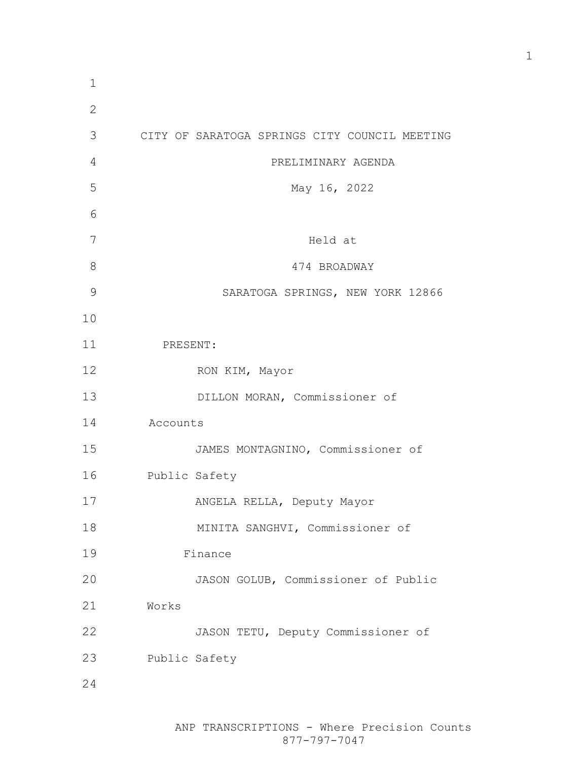| 1             |                                               |
|---------------|-----------------------------------------------|
| $\mathbf{2}$  |                                               |
| 3             | CITY OF SARATOGA SPRINGS CITY COUNCIL MEETING |
| 4             | PRELIMINARY AGENDA                            |
| 5             | May 16, 2022                                  |
| 6             |                                               |
| 7             | Held at                                       |
| 8             | 474 BROADWAY                                  |
| $\mathcal{G}$ | SARATOGA SPRINGS, NEW YORK 12866              |
| 10            |                                               |
| 11            | PRESENT:                                      |
| 12            | RON KIM, Mayor                                |
| 13            | DILLON MORAN, Commissioner of                 |
| 14            | Accounts                                      |
| 15            | JAMES MONTAGNINO, Commissioner of             |
| 16            | Public Safety                                 |
| 17            | ANGELA RELLA, Deputy Mayor                    |
| 18            | MINITA SANGHVI, Commissioner of               |
| 19            | Finance                                       |
| 20            | JASON GOLUB, Commissioner of Public           |
| 21            | Works                                         |
| 22            | JASON TETU, Deputy Commissioner of            |
| 23            | Public Safety                                 |
| 24            |                                               |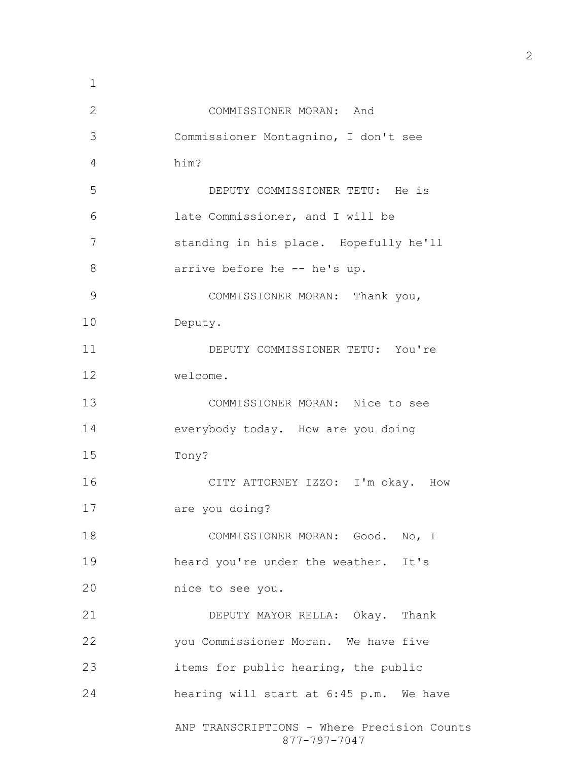| $\mathbf 1$  |                                                             |
|--------------|-------------------------------------------------------------|
| $\mathbf{2}$ | COMMISSIONER MORAN: And                                     |
| 3            | Commissioner Montagnino, I don't see                        |
| 4            | him?                                                        |
| 5            | DEPUTY COMMISSIONER TETU: He is                             |
| 6            | late Commissioner, and I will be                            |
| 7            | standing in his place. Hopefully he'll                      |
| 8            | arrive before he -- he's up.                                |
| 9            | COMMISSIONER MORAN: Thank you,                              |
| 10           | Deputy.                                                     |
| 11           | DEPUTY COMMISSIONER TETU: You're                            |
| 12           | welcome.                                                    |
| 13           | COMMISSIONER MORAN: Nice to see                             |
| 14           | everybody today. How are you doing                          |
| 15           | Tony?                                                       |
| 16           | CITY ATTORNEY IZZO: I'm okay. How                           |
| 17           | are you doing?                                              |
| 18           | COMMISSIONER MORAN: Good. No, I                             |
| 19           | heard you're under the weather. It's                        |
| 20           | nice to see you.                                            |
| 21           | DEPUTY MAYOR RELLA: Okay. Thank                             |
| 22           | you Commissioner Moran. We have five                        |
| 23           | items for public hearing, the public                        |
| 24           | hearing will start at 6:45 p.m. We have                     |
|              | ANP TRANSCRIPTIONS - Where Precision Counts<br>877-797-7047 |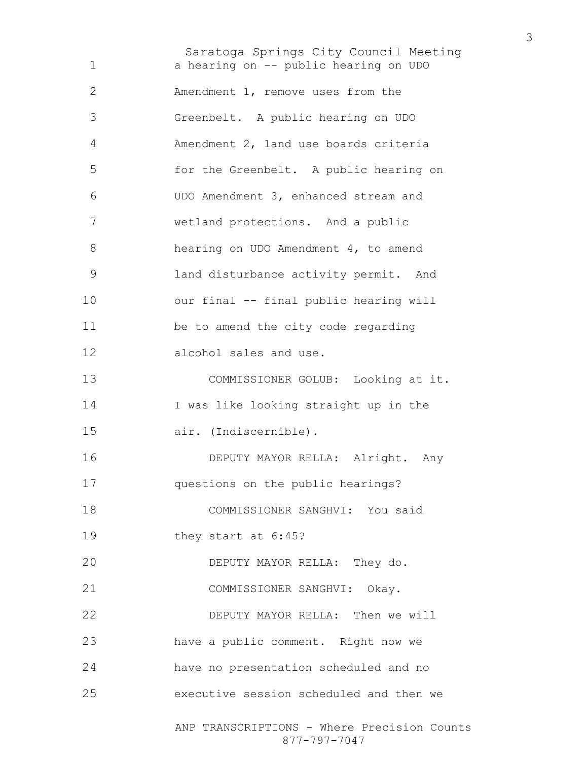Saratoga Springs City Council Meeting ANP TRANSCRIPTIONS - Where Precision Counts 877-797-7047 a hearing on -- public hearing on UDO Amendment 1, remove uses from the Greenbelt. A public hearing on UDO Amendment 2, land use boards criteria for the Greenbelt. A public hearing on UDO Amendment 3, enhanced stream and wetland protections. And a public hearing on UDO Amendment 4, to amend land disturbance activity permit. And our final -- final public hearing will be to amend the city code regarding alcohol sales and use. COMMISSIONER GOLUB: Looking at it. I was like looking straight up in the air. (Indiscernible). DEPUTY MAYOR RELLA: Alright. Any questions on the public hearings? COMMISSIONER SANGHVI: You said they start at 6:45? DEPUTY MAYOR RELLA: They do. COMMISSIONER SANGHVI: Okay. DEPUTY MAYOR RELLA: Then we will have a public comment. Right now we have no presentation scheduled and no executive session scheduled and then we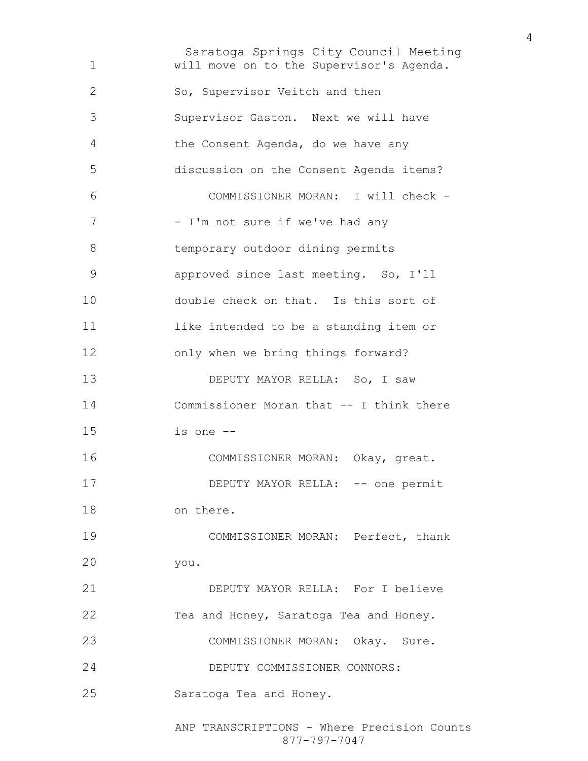Saratoga Springs City Council Meeting will move on to the Supervisor's Agenda. So, Supervisor Veitch and then Supervisor Gaston. Next we will have the Consent Agenda, do we have any discussion on the Consent Agenda items? COMMISSIONER MORAN: I will check - 7 - I'm not sure if we've had any temporary outdoor dining permits approved since last meeting. So, I'll double check on that. Is this sort of like intended to be a standing item or only when we bring things forward? 13 DEPUTY MAYOR RELLA: So, I saw Commissioner Moran that -- I think there is one –- COMMISSIONER MORAN: Okay, great. 17 DEPUTY MAYOR RELLA: -- one permit on there. COMMISSIONER MORAN: Perfect, thank you. DEPUTY MAYOR RELLA: For I believe Tea and Honey, Saratoga Tea and Honey. COMMISSIONER MORAN: Okay. Sure. DEPUTY COMMISSIONER CONNORS: Saratoga Tea and Honey.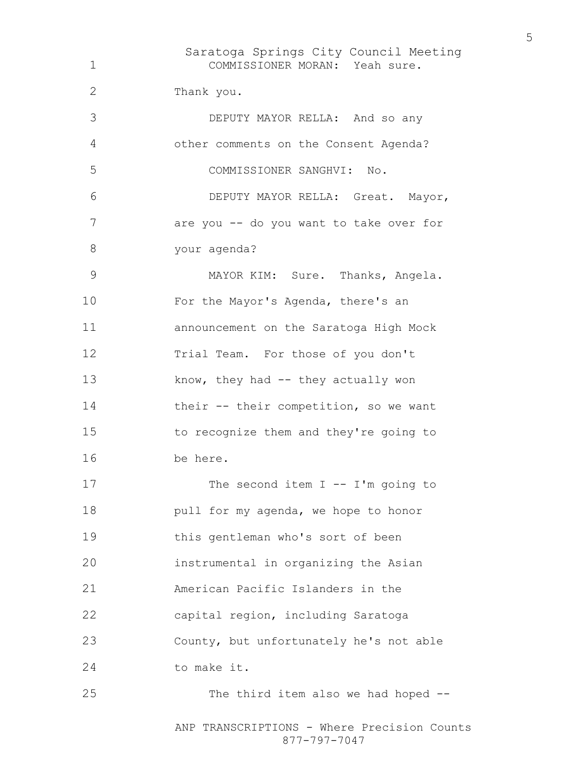Saratoga Springs City Council Meeting COMMISSIONER MORAN: Yeah sure. Thank you. DEPUTY MAYOR RELLA: And so any other comments on the Consent Agenda? COMMISSIONER SANGHVI: No. DEPUTY MAYOR RELLA: Great. Mayor, 7 are you -- do you want to take over for your agenda? MAYOR KIM: Sure. Thanks, Angela. For the Mayor's Agenda, there's an announcement on the Saratoga High Mock 12 Trial Team. For those of you don't 13 know, they had -- they actually won their -- their competition, so we want to recognize them and they're going to be here. 17 The second item I -- I'm going to **pull for my agenda, we hope to honor** this gentleman who's sort of been instrumental in organizing the Asian American Pacific Islanders in the capital region, including Saratoga County, but unfortunately he's not able to make it. 25 The third item also we had hoped --

ANP TRANSCRIPTIONS - Where Precision Counts 877-797-7047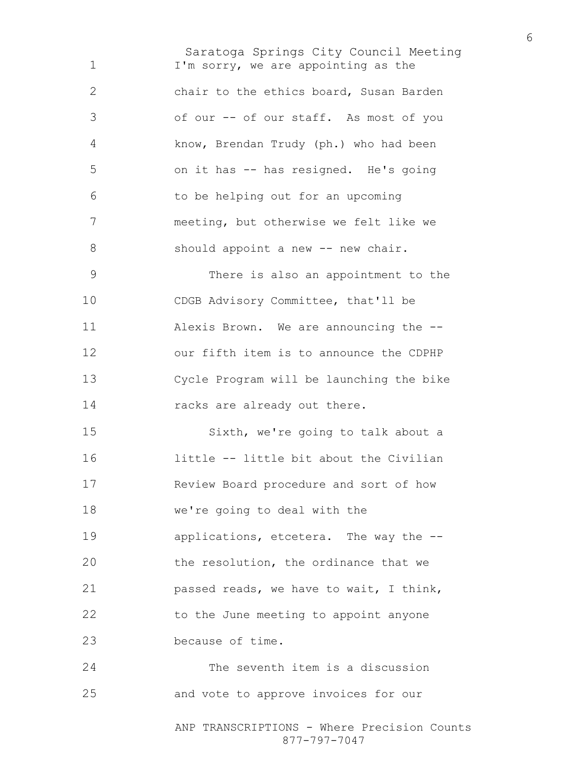Saratoga Springs City Council Meeting I'm sorry, we are appointing as the chair to the ethics board, Susan Barden of our -- of our staff. As most of you know, Brendan Trudy (ph.) who had been on it has -- has resigned. He's going to be helping out for an upcoming meeting, but otherwise we felt like we 8 should appoint a new -- new chair. There is also an appointment to the CDGB Advisory Committee, that'll be Alexis Brown. We are announcing the -- our fifth item is to announce the CDPHP Cycle Program will be launching the bike 14 racks are already out there. Sixth, we're going to talk about a little -- little bit about the Civilian Review Board procedure and sort of how we're going to deal with the applications, etcetera. The way the -- the resolution, the ordinance that we passed reads, we have to wait, I think, 22 to the June meeting to appoint anyone because of time. The seventh item is a discussion and vote to approve invoices for our

> ANP TRANSCRIPTIONS - Where Precision Counts 877-797-7047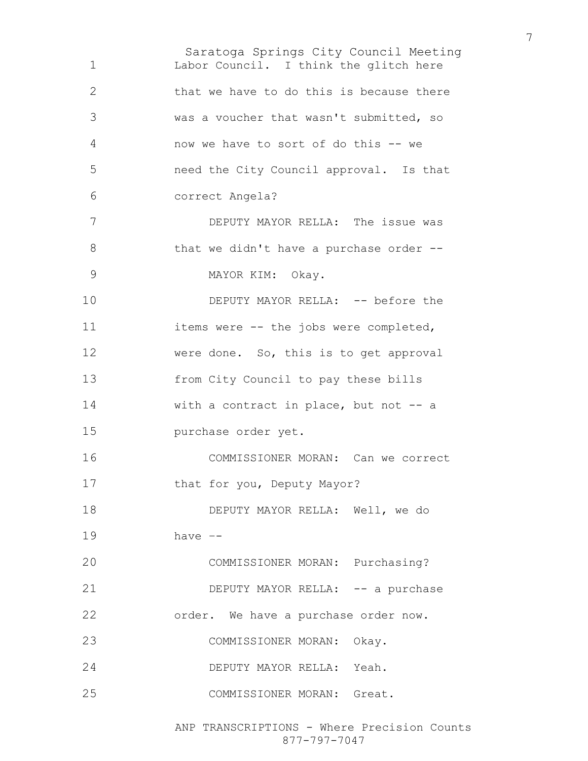Saratoga Springs City Council Meeting Labor Council. I think the glitch here that we have to do this is because there was a voucher that wasn't submitted, so now we have to sort of do this -- we need the City Council approval. Is that correct Angela? DEPUTY MAYOR RELLA: The issue was 8 that we didn't have a purchase order --MAYOR KIM: Okay. 10 DEPUTY MAYOR RELLA: -- before the items were -- the jobs were completed, were done. So, this is to get approval from City Council to pay these bills 14 with a contract in place, but not -- a purchase order yet. COMMISSIONER MORAN: Can we correct 17 that for you, Deputy Mayor? DEPUTY MAYOR RELLA: Well, we do have –- COMMISSIONER MORAN: Purchasing? 21 DEPUTY MAYOR RELLA: -- a purchase order. We have a purchase order now. COMMISSIONER MORAN: Okay. DEPUTY MAYOR RELLA: Yeah. COMMISSIONER MORAN: Great.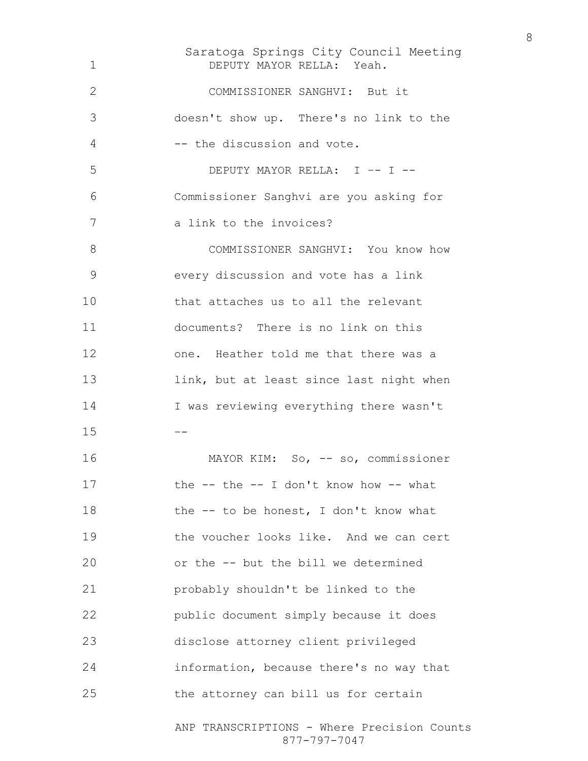Saratoga Springs City Council Meeting ANP TRANSCRIPTIONS - Where Precision Counts DEPUTY MAYOR RELLA: Yeah. COMMISSIONER SANGHVI: But it doesn't show up. There's no link to the 4 -- the discussion and vote. DEPUTY MAYOR RELLA: I –- I -- Commissioner Sanghvi are you asking for 7 a link to the invoices? 8 COMMISSIONER SANGHVI: You know how every discussion and vote has a link that attaches us to all the relevant documents? There is no link on this one. Heather told me that there was a 13 link, but at least since last night when I was reviewing everything there wasn't  $-$ MAYOR KIM: So, -- so, commissioner 17 the -- the -- I don't know how -- what 18 the -- to be honest, I don't know what 19 the voucher looks like. And we can cert or the -- but the bill we determined probably shouldn't be linked to the public document simply because it does disclose attorney client privileged information, because there's no way that the attorney can bill us for certain

877-797-7047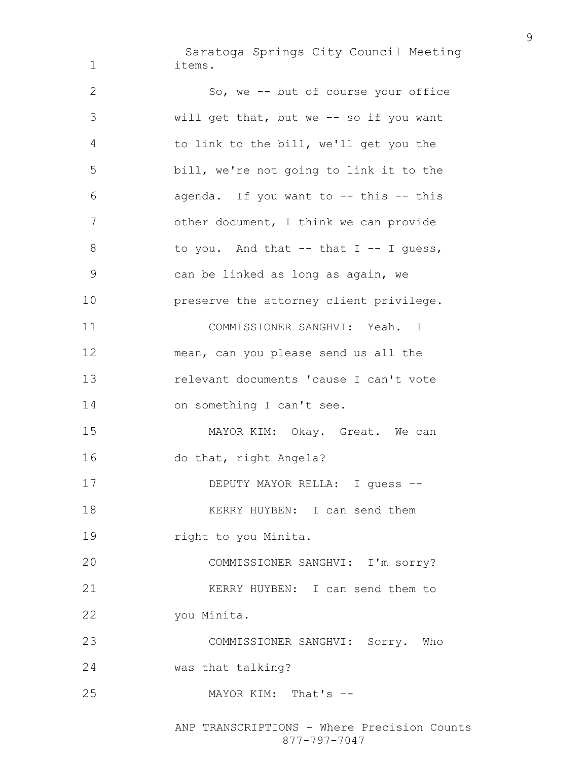Saratoga Springs City Council Meeting items.

So, we -- but of course your office will get that, but we -- so if you want to link to the bill, we'll get you the bill, we're not going to link it to the agenda. If you want to -- this -- this other document, I think we can provide 8 to you. And that -- that I -- I guess, can be linked as long as again, we preserve the attorney client privilege. COMMISSIONER SANGHVI: Yeah. I mean, can you please send us all the relevant documents 'cause I can't vote 14 on something I can't see. MAYOR KIM: Okay. Great. We can do that, right Angela? DEPUTY MAYOR RELLA: I guess –- 18 KERRY HUYBEN: I can send them **right to you Minita.** COMMISSIONER SANGHVI: I'm sorry? KERRY HUYBEN: I can send them to you Minita. COMMISSIONER SANGHVI: Sorry. Who was that talking? MAYOR KIM: That's –-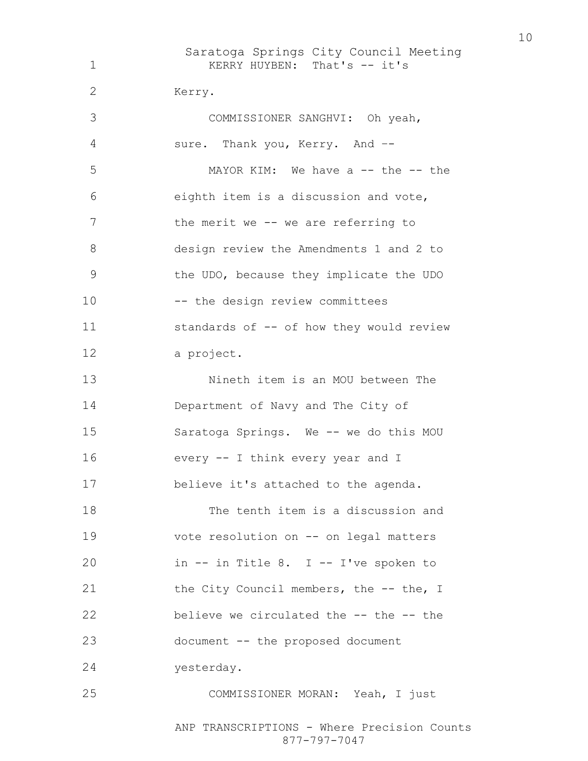| 1            | Saratoga Springs City Council Meeting<br>KERRY HUYBEN: That's -- it's                                     |
|--------------|-----------------------------------------------------------------------------------------------------------|
| $\mathbf{2}$ | Kerry.                                                                                                    |
| 3            | COMMISSIONER SANGHVI: Oh yeah,                                                                            |
| 4            | sure. Thank you, Kerry. And --                                                                            |
| 5            | MAYOR KIM: We have $a$ -- the -- the                                                                      |
| 6            | eighth item is a discussion and vote,                                                                     |
| 7            | the merit we -- we are referring to                                                                       |
| 8            | design review the Amendments 1 and 2 to                                                                   |
| 9            | the UDO, because they implicate the UDO                                                                   |
| 10           | -- the design review committees                                                                           |
| 11           | standards of -- of how they would review                                                                  |
| 12           | a project.                                                                                                |
| 13           | Nineth item is an MOU between The                                                                         |
| 14           | Department of Navy and The City of                                                                        |
| 15           | Saratoga Springs. We -- we do this MOU                                                                    |
| 16           | every -- I think every year and I                                                                         |
| 17           | believe it's attached to the agenda.                                                                      |
| 18           | The tenth item is a discussion and                                                                        |
| 19           | vote resolution on -- on legal matters                                                                    |
| 20           | in -- in Title 8. I -- I've spoken to                                                                     |
| 21           | the City Council members, the -- the, I                                                                   |
| 22           | believe we circulated the -- the -- the                                                                   |
| 23           | document -- the proposed document                                                                         |
| 24           | yesterday.                                                                                                |
| 25           | COMMISSIONER MORAN: Yeah, I just                                                                          |
|              | $mm$ $\lambda$ $\lambda$ $\Omega$ $\Omega$ $\Omega$ $\Gamma$ $\Gamma$ $\Omega$ $\Gamma$ $\Omega$ $\Omega$ |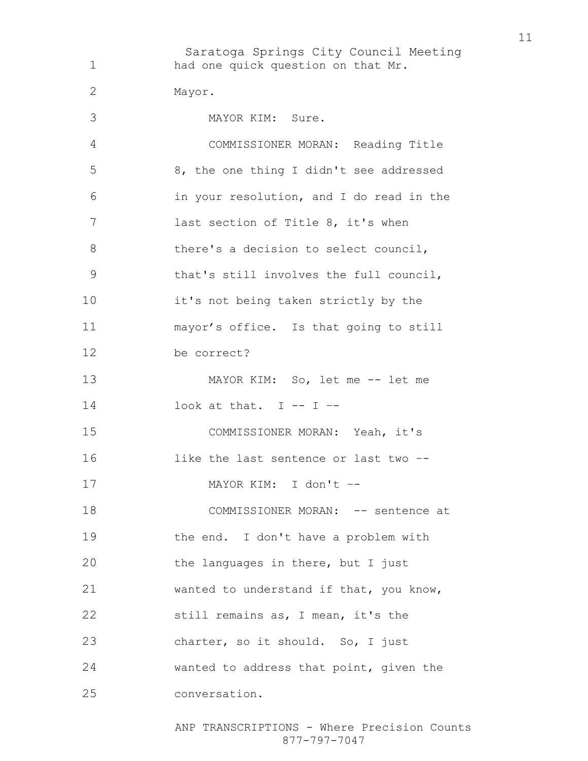Saratoga Springs City Council Meeting had one quick question on that Mr. Mayor. MAYOR KIM: Sure. COMMISSIONER MORAN: Reading Title 8, the one thing I didn't see addressed in your resolution, and I do read in the last section of Title 8, it's when 8 there's a decision to select council, that's still involves the full council, it's not being taken strictly by the mayor's office. Is that going to still be correct? MAYOR KIM: So, let me -- let me  $\qquad$  look at that. I -- I --COMMISSIONER MORAN: Yeah, it's 16 like the last sentence or last two --MAYOR KIM: I don't –- 18 COMMISSIONER MORAN: -- sentence at the end. I don't have a problem with 20 the languages in there, but I just wanted to understand if that, you know, still remains as, I mean, it's the 23 charter, so it should. So, I just wanted to address that point, given the conversation.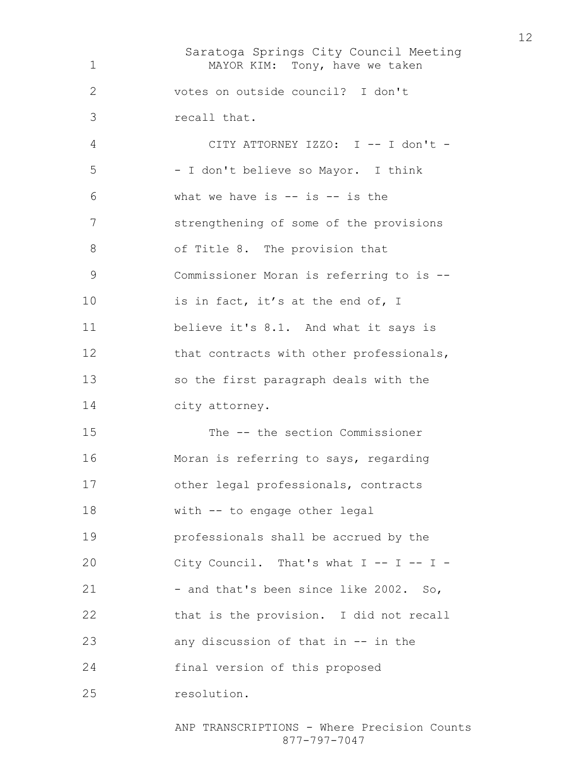Saratoga Springs City Council Meeting MAYOR KIM: Tony, have we taken votes on outside council? I don't recall that. CITY ATTORNEY IZZO: I -- I don't - - I don't believe so Mayor. I think what we have is  $-$  is  $-$  is the strengthening of some of the provisions of Title 8. The provision that Commissioner Moran is referring to is -- 10 is in fact, it's at the end of, I believe it's 8.1. And what it says is 12 that contracts with other professionals, so the first paragraph deals with the city attorney. The -- the section Commissioner Moran is referring to says, regarding other legal professionals, contracts with -- to engage other legal professionals shall be accrued by the 20 City Council. That's what I -- I -- I -21 - and that's been since like 2002. So, that is the provision. I did not recall any discussion of that in -- in the final version of this proposed resolution.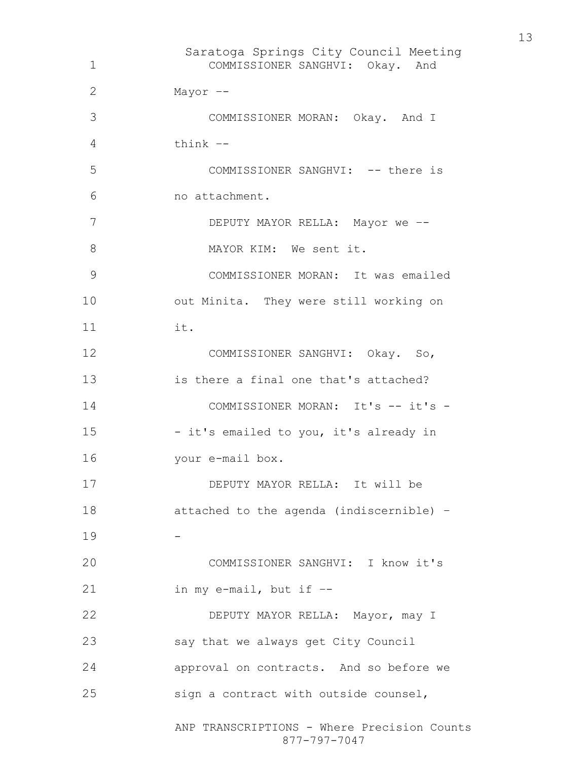Saratoga Springs City Council Meeting ANP TRANSCRIPTIONS - Where Precision Counts 877-797-7047 COMMISSIONER SANGHVI: Okay. And Mayor –- COMMISSIONER MORAN: Okay. And I think –- COMMISSIONER SANGHVI: -- there is no attachment. 7 DEPUTY MAYOR RELLA: Mayor we --8 MAYOR KIM: We sent it. COMMISSIONER MORAN: It was emailed out Minita. They were still working on it. COMMISSIONER SANGHVI: Okay. So, is there a final one that's attached? 14 COMMISSIONER MORAN: It's -- it's -- it's emailed to you, it's already in your e-mail box. DEPUTY MAYOR RELLA: It will be attached to the agenda (indiscernible) – COMMISSIONER SANGHVI: I know it's in my e-mail, but if –- DEPUTY MAYOR RELLA: Mayor, may I say that we always get City Council approval on contracts. And so before we sign a contract with outside counsel,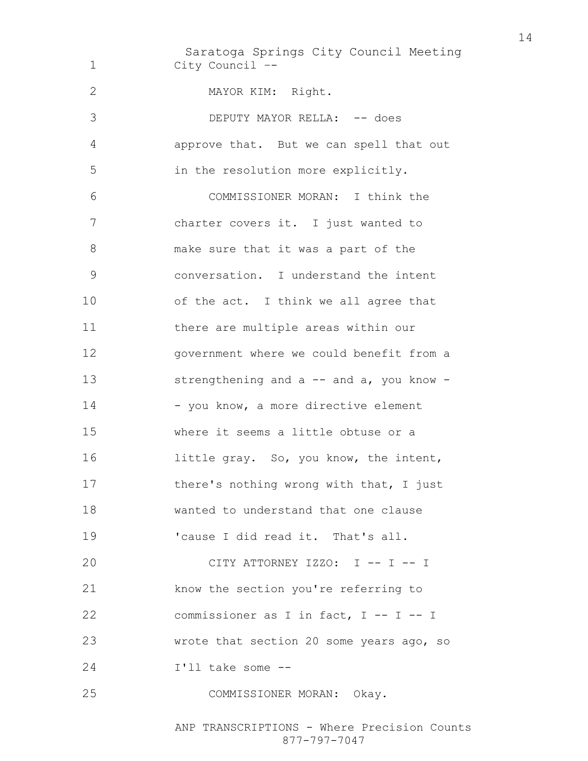Saratoga Springs City Council Meeting City Council –- MAYOR KIM: Right. 3 DEPUTY MAYOR RELLA:  $-$  does approve that. But we can spell that out in the resolution more explicitly. COMMISSIONER MORAN: I think the charter covers it. I just wanted to make sure that it was a part of the conversation. I understand the intent 10 of the act. I think we all agree that there are multiple areas within our government where we could benefit from a 13 strengthening and a -- and a, you know -14 - you know, a more directive element where it seems a little obtuse or a 16 little gray. So, you know, the intent, 17 there's nothing wrong with that, I just wanted to understand that one clause 'cause I did read it. That's all. CITY ATTORNEY IZZO: I -- I -- I know the section you're referring to commissioner as I in fact, I -- I -- I wrote that section 20 some years ago, so I'll take some -- COMMISSIONER MORAN: Okay.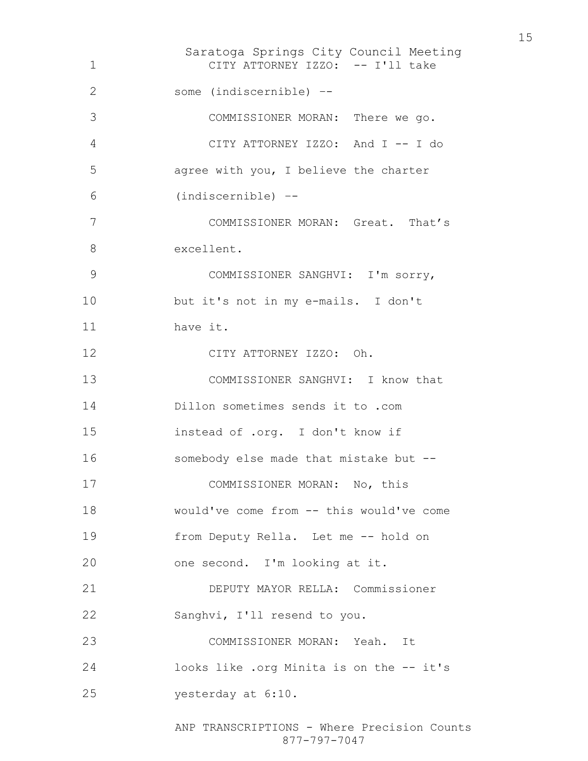Saratoga Springs City Council Meeting CITY ATTORNEY IZZO: -- I'll take some (indiscernible) –- COMMISSIONER MORAN: There we go. CITY ATTORNEY IZZO: And I -- I do agree with you, I believe the charter (indiscernible) –- COMMISSIONER MORAN: Great. That's excellent. COMMISSIONER SANGHVI: I'm sorry, but it's not in my e-mails. I don't have it. CITY ATTORNEY IZZO: Oh. COMMISSIONER SANGHVI: I know that Dillon sometimes sends it to .com instead of .org. I don't know if somebody else made that mistake but -- COMMISSIONER MORAN: No, this would've come from -- this would've come from Deputy Rella. Let me -- hold on one second. I'm looking at it. DEPUTY MAYOR RELLA: Commissioner Sanghvi, I'll resend to you. COMMISSIONER MORAN: Yeah. It looks like .org Minita is on the -- it's yesterday at 6:10.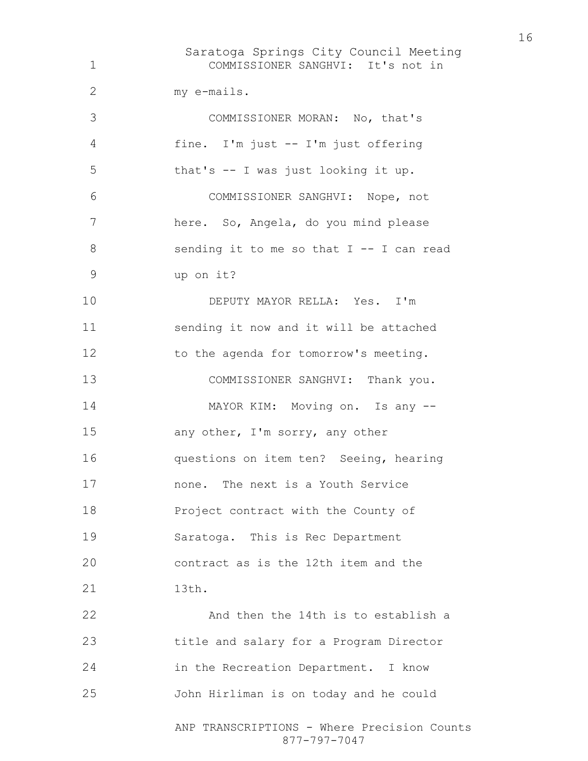Saratoga Springs City Council Meeting ANP TRANSCRIPTIONS - Where Precision Counts 877-797-7047 COMMISSIONER SANGHVI: It's not in my e-mails. COMMISSIONER MORAN: No, that's fine. I'm just -- I'm just offering that's -- I was just looking it up. COMMISSIONER SANGHVI: Nope, not here. So, Angela, do you mind please 8 sending it to me so that I -- I can read up on it? DEPUTY MAYOR RELLA: Yes. I'm sending it now and it will be attached 12 to the agenda for tomorrow's meeting. 13 COMMISSIONER SANGHVI: Thank you. MAYOR KIM: Moving on. Is any -- any other, I'm sorry, any other questions on item ten? Seeing, hearing none. The next is a Youth Service Project contract with the County of Saratoga. This is Rec Department contract as is the 12th item and the 21 13th. And then the 14th is to establish a title and salary for a Program Director in the Recreation Department. I know John Hirliman is on today and he could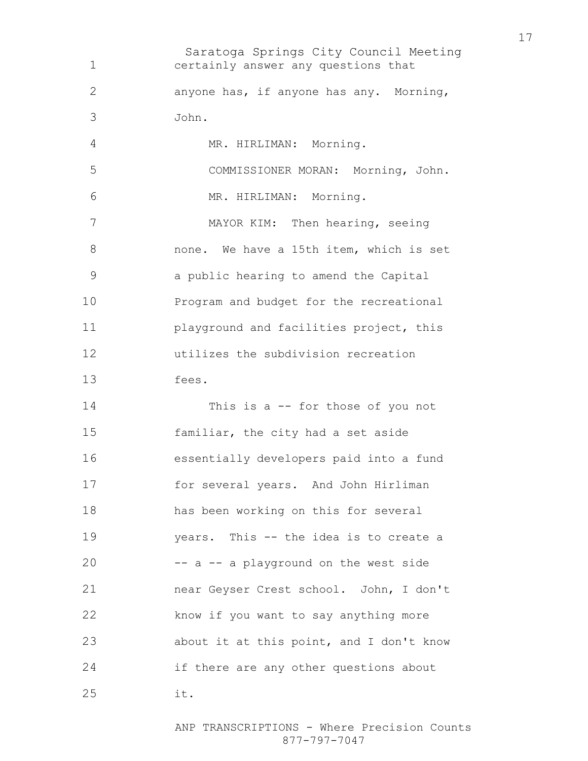Saratoga Springs City Council Meeting certainly answer any questions that anyone has, if anyone has any. Morning, John. 4 MR. HIRLIMAN: Morning. COMMISSIONER MORAN: Morning, John. MR. HIRLIMAN: Morning. MAYOR KIM: Then hearing, seeing none. We have a 15th item, which is set a public hearing to amend the Capital Program and budget for the recreational playground and facilities project, this utilizes the subdivision recreation fees. This is a -- for those of you not familiar, the city had a set aside essentially developers paid into a fund for several years. And John Hirliman has been working on this for several years. This -- the idea is to create a -- a -- a playground on the west side near Geyser Crest school. John, I don't know if you want to say anything more about it at this point, and I don't know if there are any other questions about it.

> ANP TRANSCRIPTIONS - Where Precision Counts 877-797-7047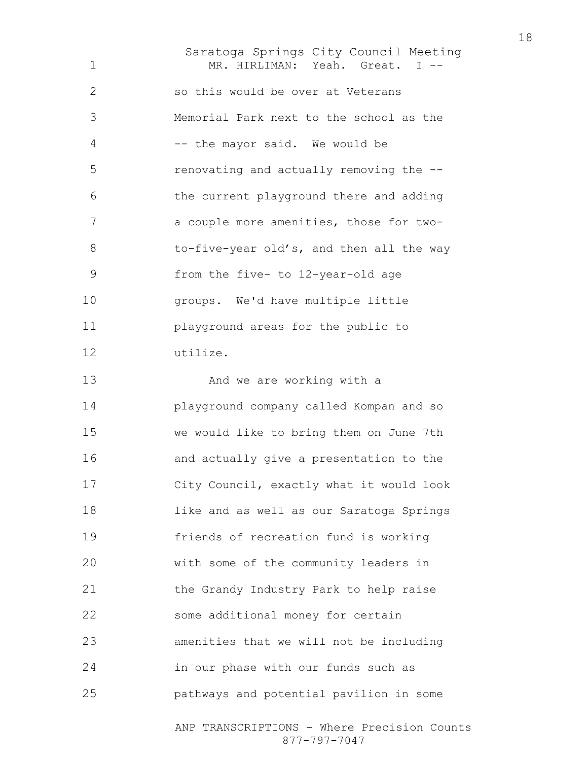Saratoga Springs City Council Meeting MR. HIRLIMAN: Yeah. Great. I -- so this would be over at Veterans Memorial Park next to the school as the -- the mayor said. We would be renovating and actually removing the -- the current playground there and adding a couple more amenities, those for two-8 to-five-year old's, and then all the way from the five- to 12-year-old age groups. We'd have multiple little playground areas for the public to utilize. And we are working with a playground company called Kompan and so we would like to bring them on June 7th and actually give a presentation to the City Council, exactly what it would look like and as well as our Saratoga Springs friends of recreation fund is working with some of the community leaders in the Grandy Industry Park to help raise some additional money for certain amenities that we will not be including in our phase with our funds such as pathways and potential pavilion in some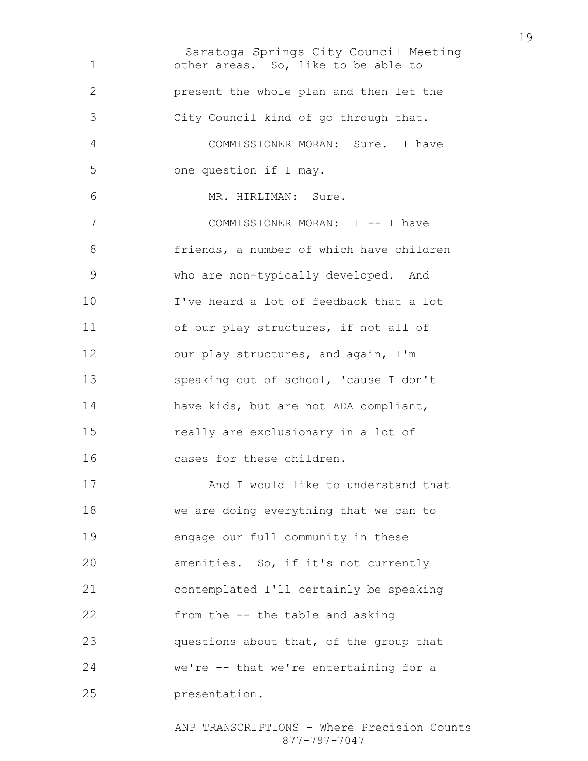Saratoga Springs City Council Meeting other areas. So, like to be able to present the whole plan and then let the City Council kind of go through that. COMMISSIONER MORAN: Sure. I have one question if I may. MR. HIRLIMAN: Sure. 7 COMMISSIONER MORAN: I -- I have friends, a number of which have children who are non-typically developed. And I've heard a lot of feedback that a lot of our play structures, if not all of 12 our play structures, and again, I'm speaking out of school, 'cause I don't have kids, but are not ADA compliant, really are exclusionary in a lot of cases for these children. 17 And I would like to understand that we are doing everything that we can to engage our full community in these amenities. So, if it's not currently contemplated I'll certainly be speaking from the -- the table and asking questions about that, of the group that we're -- that we're entertaining for a presentation.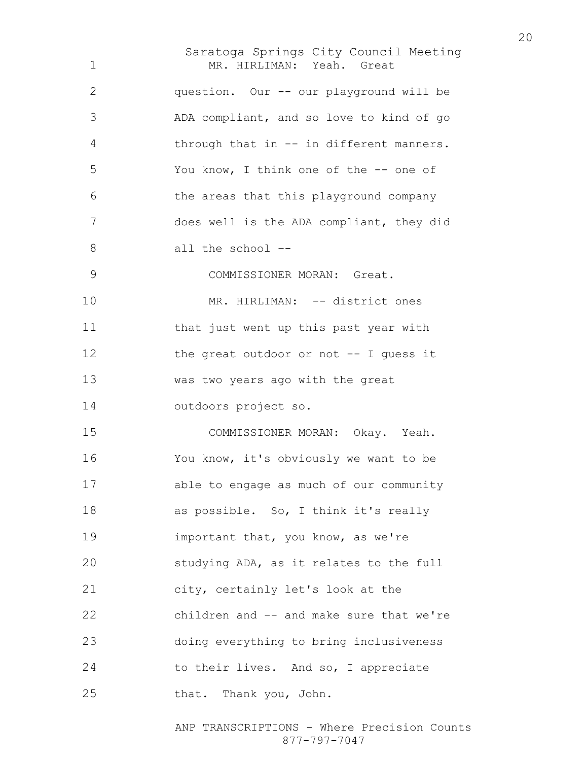| $\mathbf 1$  | Saratoga Springs City Council Meeting<br>MR. HIRLIMAN: Yeah. Great |
|--------------|--------------------------------------------------------------------|
| $\mathbf{2}$ | question. Our -- our playground will be                            |
| 3            | ADA compliant, and so love to kind of go                           |
| 4            | through that in -- in different manners.                           |
| 5            | You know, I think one of the -- one of                             |
| 6            | the areas that this playground company                             |
| 7            | does well is the ADA compliant, they did                           |
| 8            | all the school --                                                  |
| 9            | COMMISSIONER MORAN: Great.                                         |
| 10           | MR. HIRLIMAN: -- district ones                                     |
| 11           | that just went up this past year with                              |
| 12           | the great outdoor or not -- I quess it                             |
| 13           | was two years ago with the great                                   |
| 14           | outdoors project so.                                               |
| 15           | COMMISSIONER MORAN: Okay. Yeah.                                    |
| 16           | You know, it's obviously we want to be                             |
| 17           | able to engage as much of our community                            |
| 18           | as possible. So, I think it's really                               |
| 19           | important that, you know, as we're                                 |
| 20           | studying ADA, as it relates to the full                            |
| 21           | city, certainly let's look at the                                  |
| 22           | children and -- and make sure that we're                           |
| 23           | doing everything to bring inclusiveness                            |
| 24           | to their lives. And so, I appreciate                               |
| 25           | that. Thank you, John.                                             |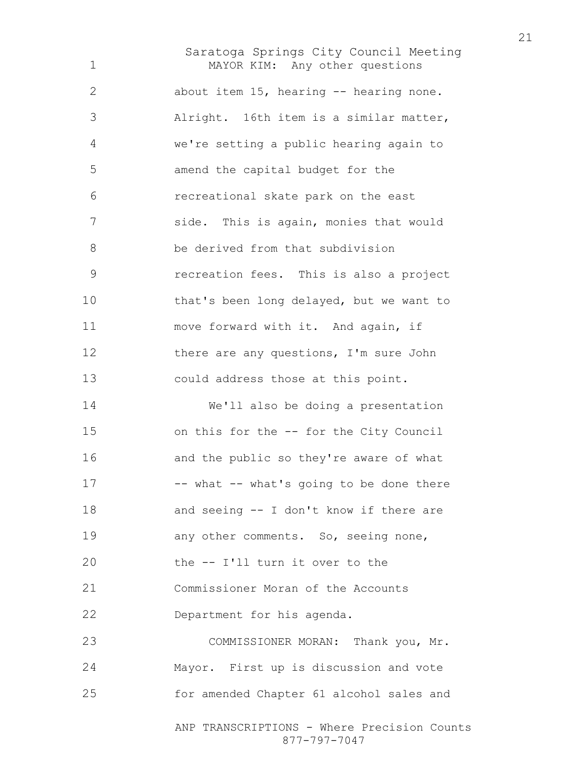Saratoga Springs City Council Meeting MAYOR KIM: Any other questions about item 15, hearing -- hearing none. Alright. 16th item is a similar matter, we're setting a public hearing again to amend the capital budget for the recreational skate park on the east side. This is again, monies that would be derived from that subdivision recreation fees. This is also a project that's been long delayed, but we want to move forward with it. And again, if 12 there are any questions, I'm sure John could address those at this point. We'll also be doing a presentation 15 on this for the -- for the City Council and the public so they're aware of what 17 -- what -- what's going to be done there and seeing -- I don't know if there are 19 any other comments. So, seeing none, the -- I'll turn it over to the Commissioner Moran of the Accounts Department for his agenda. COMMISSIONER MORAN: Thank you, Mr. Mayor. First up is discussion and vote for amended Chapter 61 alcohol sales and

> ANP TRANSCRIPTIONS - Where Precision Counts 877-797-7047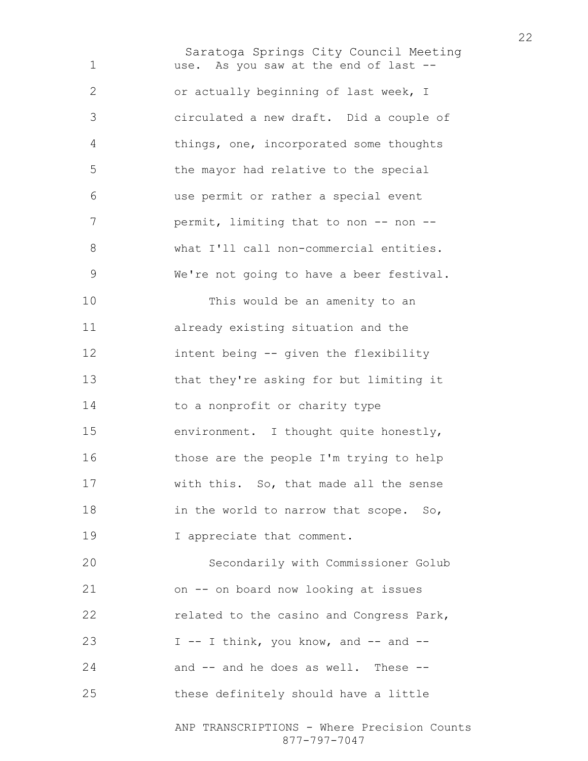Saratoga Springs City Council Meeting use. As you saw at the end of last -- or actually beginning of last week, I circulated a new draft. Did a couple of things, one, incorporated some thoughts the mayor had relative to the special use permit or rather a special event 7 permit, limiting that to non -- non --8 what I'll call non-commercial entities. We're not going to have a beer festival. This would be an amenity to an already existing situation and the intent being -- given the flexibility that they're asking for but limiting it 14 to a nonprofit or charity type environment. I thought quite honestly, those are the people I'm trying to help with this. So, that made all the sense 18 in the world to narrow that scope. So, 19 I appreciate that comment. Secondarily with Commissioner Golub on -- on board now looking at issues related to the casino and Congress Park,  $I -I$  think, you know, and  $-$  and  $-$ and -- and he does as well. These -- these definitely should have a little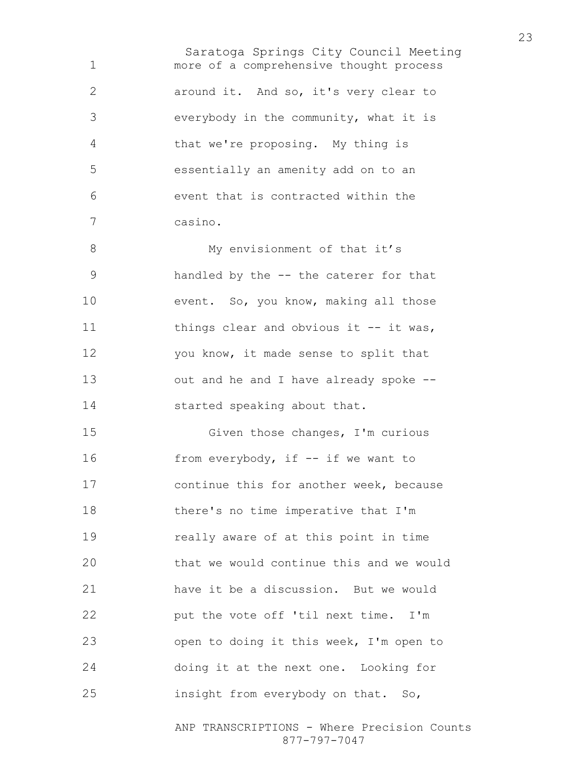Saratoga Springs City Council Meeting more of a comprehensive thought process around it. And so, it's very clear to everybody in the community, what it is that we're proposing. My thing is essentially an amenity add on to an event that is contracted within the casino. 8 My envisionment of that it's handled by the -- the caterer for that event. So, you know, making all those 11 things clear and obvious it -- it was, 12 you know, it made sense to split that out and he and I have already spoke -- 14 started speaking about that. Given those changes, I'm curious 16 from everybody, if -- if we want to continue this for another week, because there's no time imperative that I'm really aware of at this point in time that we would continue this and we would have it be a discussion. But we would put the vote off 'til next time. I'm open to doing it this week, I'm open to doing it at the next one. Looking for insight from everybody on that. So,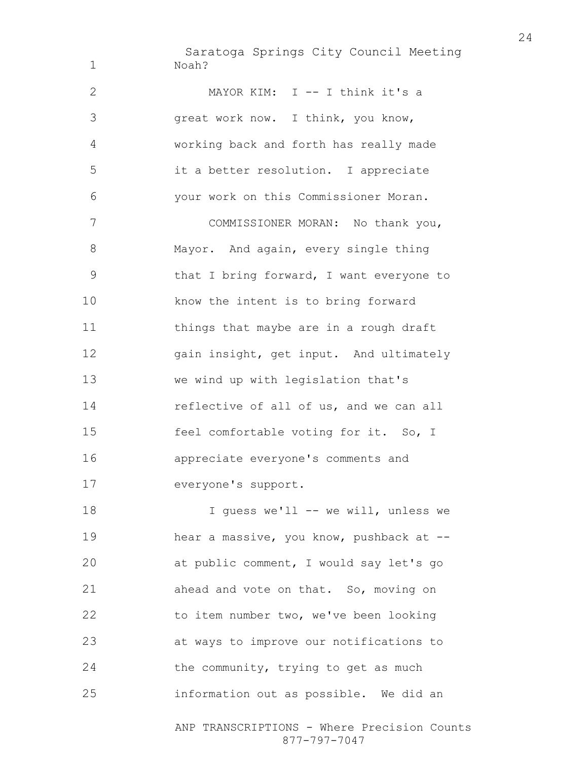Saratoga Springs City Council Meeting Noah?

MAYOR KIM: I -- I think it's a great work now. I think, you know, working back and forth has really made it a better resolution. I appreciate your work on this Commissioner Moran. COMMISSIONER MORAN: No thank you, 8 Mayor. And again, every single thing that I bring forward, I want everyone to know the intent is to bring forward 11 things that maybe are in a rough draft gain insight, get input. And ultimately we wind up with legislation that's 14 reflective of all of us, and we can all feel comfortable voting for it. So, I appreciate everyone's comments and everyone's support. 18 I guess we'll -- we will, unless we hear a massive, you know, pushback at -- at public comment, I would say let's go ahead and vote on that. So, moving on to item number two, we've been looking at ways to improve our notifications to

information out as possible. We did an

24 the community, trying to get as much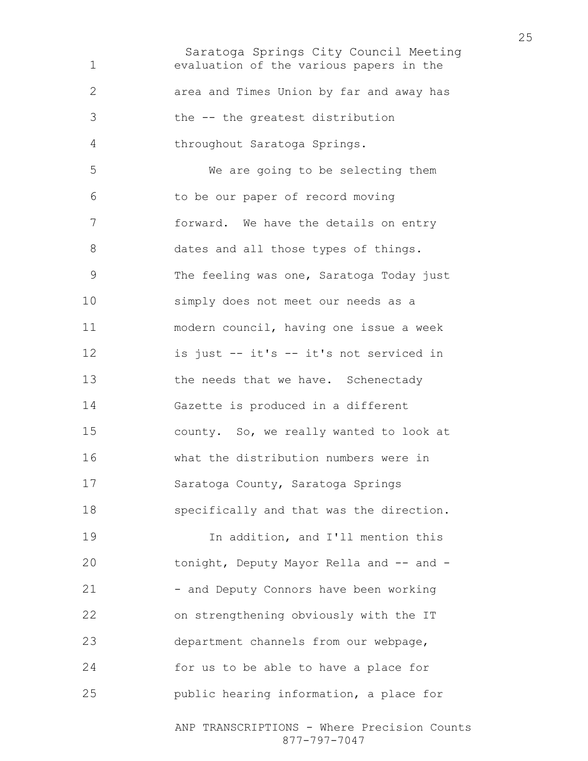Saratoga Springs City Council Meeting ANP TRANSCRIPTIONS - Where Precision Counts evaluation of the various papers in the area and Times Union by far and away has the -- the greatest distribution throughout Saratoga Springs. We are going to be selecting them to be our paper of record moving forward. We have the details on entry 8 dates and all those types of things. The feeling was one, Saratoga Today just simply does not meet our needs as a modern council, having one issue a week is just -- it's -- it's not serviced in 13 the needs that we have. Schenectady Gazette is produced in a different county. So, we really wanted to look at what the distribution numbers were in Saratoga County, Saratoga Springs specifically and that was the direction. In addition, and I'll mention this 20 tonight, Deputy Mayor Rella and -- and -21 - and Deputy Connors have been working on strengthening obviously with the IT department channels from our webpage, for us to be able to have a place for public hearing information, a place for

877-797-7047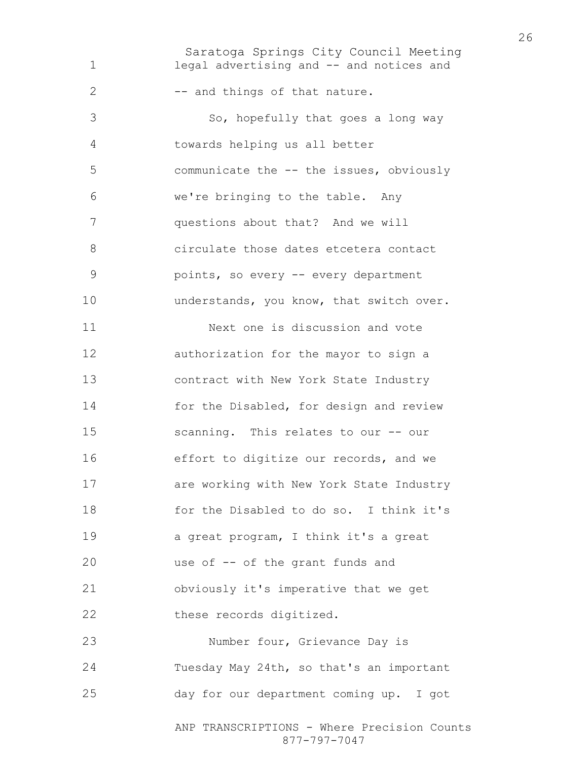Saratoga Springs City Council Meeting ANP TRANSCRIPTIONS - Where Precision Counts legal advertising and -- and notices and 2 -- and things of that nature. 3 So, hopefully that goes a long way towards helping us all better communicate the -- the issues, obviously we're bringing to the table. Any questions about that? And we will circulate those dates etcetera contact points, so every -- every department 10 understands, you know, that switch over. Next one is discussion and vote authorization for the mayor to sign a contract with New York State Industry for the Disabled, for design and review scanning. This relates to our -- our effort to digitize our records, and we are working with New York State Industry for the Disabled to do so. I think it's a great program, I think it's a great use of -- of the grant funds and obviously it's imperative that we get 22 these records digitized. Number four, Grievance Day is Tuesday May 24th, so that's an important day for our department coming up. I got

877-797-7047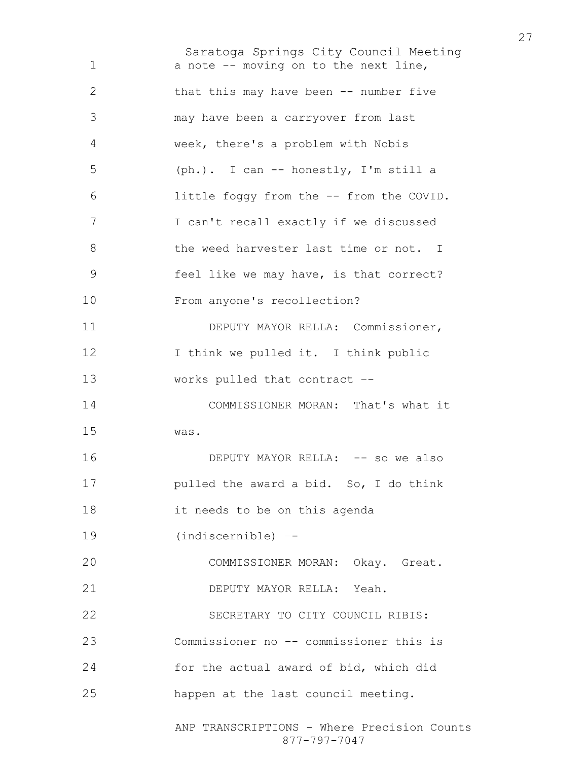Saratoga Springs City Council Meeting ANP TRANSCRIPTIONS - Where Precision Counts 1 a note -- moving on to the next line, that this may have been -- number five may have been a carryover from last week, there's a problem with Nobis (ph.). I can -- honestly, I'm still a little foggy from the -- from the COVID. I can't recall exactly if we discussed the weed harvester last time or not. I feel like we may have, is that correct? From anyone's recollection? DEPUTY MAYOR RELLA: Commissioner, 12 I think we pulled it. I think public works pulled that contract –- COMMISSIONER MORAN: That's what it was. 16 DEPUTY MAYOR RELLA: -- so we also **pulled the award a bid.** So, I do think it needs to be on this agenda (indiscernible) –- COMMISSIONER MORAN: Okay. Great. DEPUTY MAYOR RELLA: Yeah. SECRETARY TO CITY COUNCIL RIBIS: Commissioner no –- commissioner this is for the actual award of bid, which did happen at the last council meeting.

877-797-7047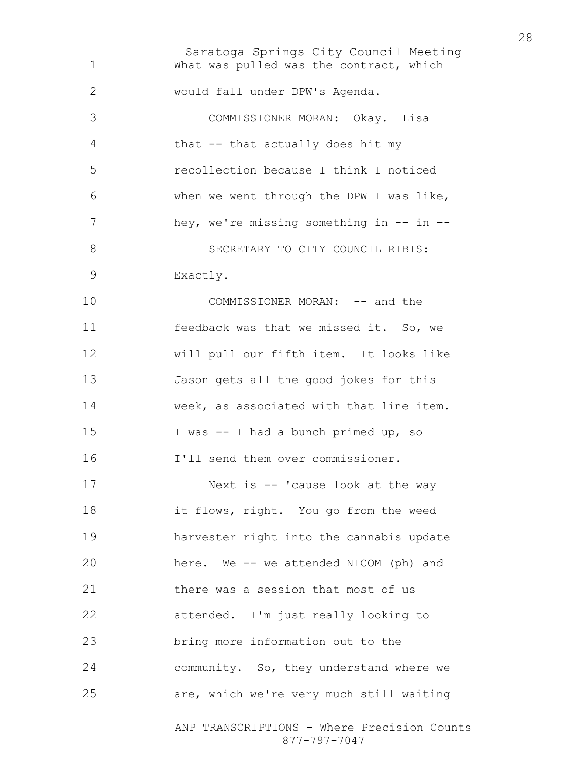Saratoga Springs City Council Meeting ANP TRANSCRIPTIONS - Where Precision Counts What was pulled was the contract, which would fall under DPW's Agenda. COMMISSIONER MORAN: Okay. Lisa that -- that actually does hit my recollection because I think I noticed when we went through the DPW I was like, 7 hey, we're missing something in -- in --8 SECRETARY TO CITY COUNCIL RIBIS: Exactly. 10 COMMISSIONER MORAN: -- and the feedback was that we missed it. So, we will pull our fifth item. It looks like Jason gets all the good jokes for this week, as associated with that line item. I was -- I had a bunch primed up, so I'll send them over commissioner. 17 Next is -- 'cause look at the way it flows, right. You go from the weed harvester right into the cannabis update here. We -- we attended NICOM (ph) and there was a session that most of us attended. I'm just really looking to bring more information out to the community. So, they understand where we are, which we're very much still waiting

877-797-7047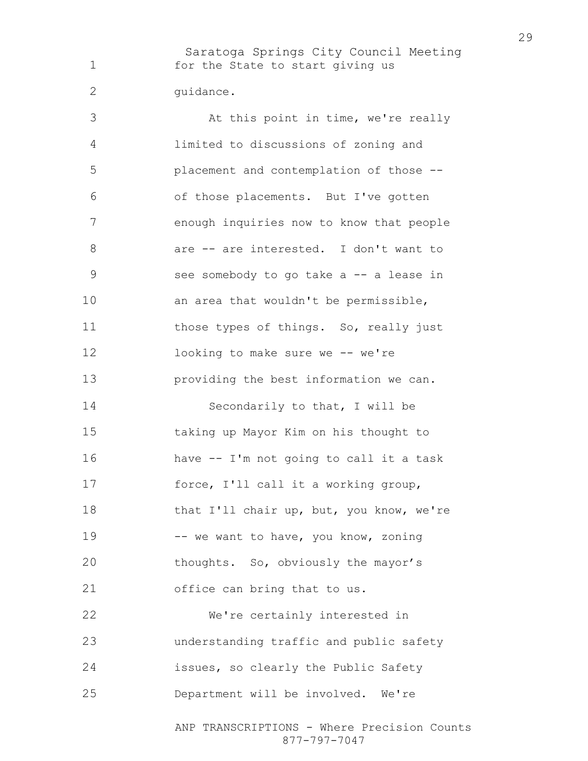Saratoga Springs City Council Meeting 1 for the State to start giving us 2 quidance.

3 At this point in time, we're really limited to discussions of zoning and placement and contemplation of those -- of those placements. But I've gotten enough inquiries now to know that people are -- are interested. I don't want to see somebody to go take a -- a lease in an area that wouldn't be permissible, 11 those types of things. So, really just looking to make sure we -- we're providing the best information we can. 14 Secondarily to that, I will be taking up Mayor Kim on his thought to have -- I'm not going to call it a task force, I'll call it a working group, 18 that I'll chair up, but, you know, we're 19 -- we want to have, you know, zoning thoughts. So, obviously the mayor's office can bring that to us. We're certainly interested in understanding traffic and public safety issues, so clearly the Public Safety Department will be involved. We're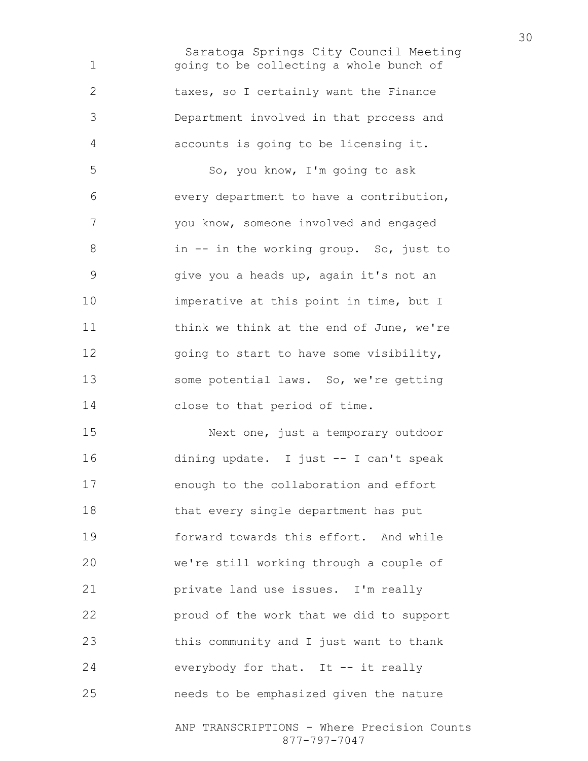Saratoga Springs City Council Meeting going to be collecting a whole bunch of taxes, so I certainly want the Finance Department involved in that process and accounts is going to be licensing it. So, you know, I'm going to ask every department to have a contribution, you know, someone involved and engaged in -- in the working group. So, just to give you a heads up, again it's not an imperative at this point in time, but I think we think at the end of June, we're 12 going to start to have some visibility, some potential laws. So, we're getting close to that period of time.

Next one, just a temporary outdoor dining update. I just -- I can't speak enough to the collaboration and effort that every single department has put forward towards this effort. And while we're still working through a couple of private land use issues. I'm really proud of the work that we did to support this community and I just want to thank everybody for that. It -- it really needs to be emphasized given the nature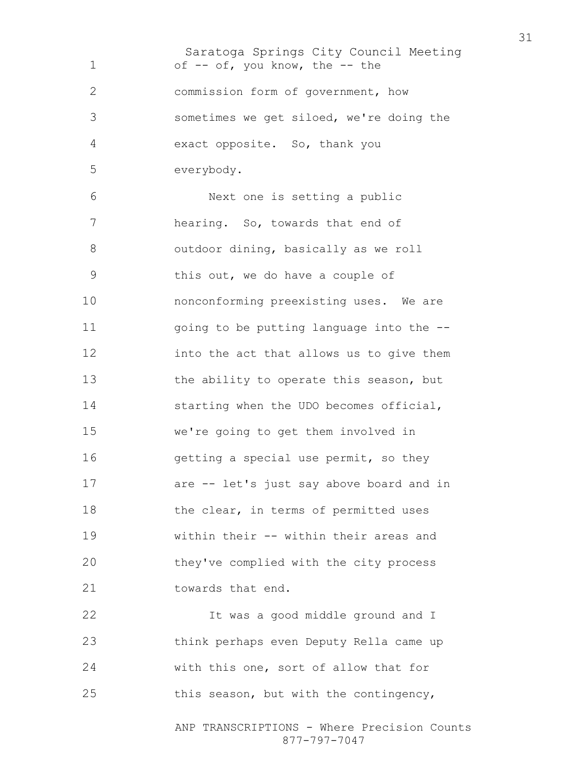Saratoga Springs City Council Meeting 1 of -- of, you know, the -- the commission form of government, how sometimes we get siloed, we're doing the exact opposite. So, thank you everybody. Next one is setting a public hearing. So, towards that end of outdoor dining, basically as we roll this out, we do have a couple of nonconforming preexisting uses. We are 11 going to be putting language into the --into the act that allows us to give them 13 the ability to operate this season, but starting when the UDO becomes official, we're going to get them involved in getting a special use permit, so they are -- let's just say above board and in 18 the clear, in terms of permitted uses within their -- within their areas and they've complied with the city process 21 towards that end. It was a good middle ground and I think perhaps even Deputy Rella came up with this one, sort of allow that for this season, but with the contingency,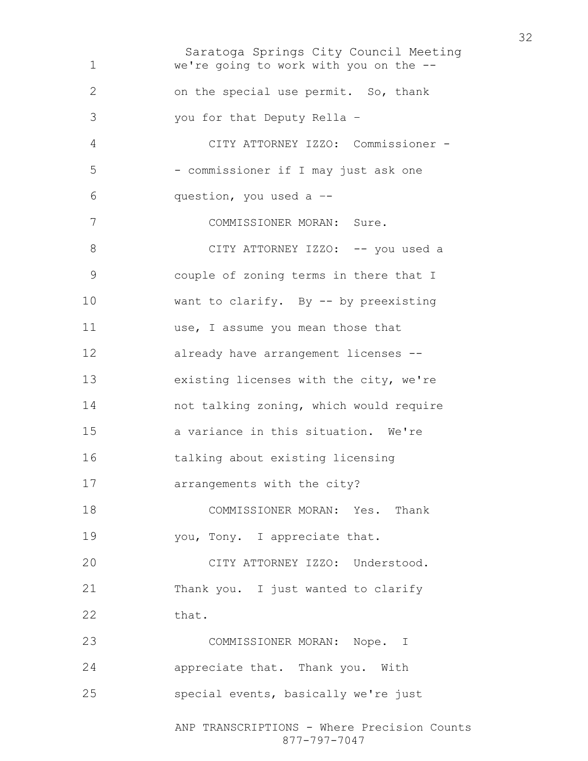Saratoga Springs City Council Meeting ANP TRANSCRIPTIONS - Where Precision Counts 877-797-7047 we're going to work with you on the -- on the special use permit. So, thank you for that Deputy Rella – CITY ATTORNEY IZZO: Commissioner - - commissioner if I may just ask one question, you used a –- COMMISSIONER MORAN: Sure. 8 CITY ATTORNEY IZZO: -- you used a couple of zoning terms in there that I want to clarify. By -- by preexisting 11 use, I assume you mean those that already have arrangement licenses -- existing licenses with the city, we're not talking zoning, which would require a variance in this situation. We're talking about existing licensing arrangements with the city? COMMISSIONER MORAN: Yes. Thank 19 you, Tony. I appreciate that. CITY ATTORNEY IZZO: Understood. 21 Thank you. I just wanted to clarify 22 that. COMMISSIONER MORAN: Nope. I appreciate that. Thank you. With special events, basically we're just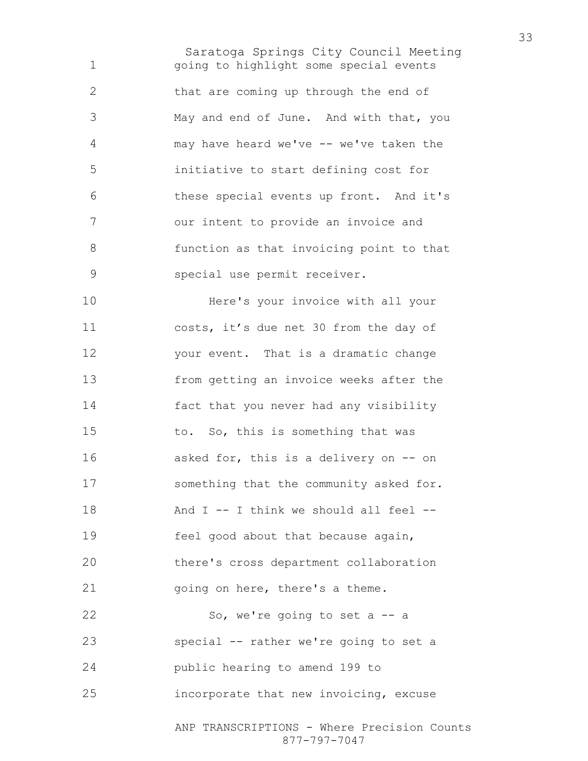Saratoga Springs City Council Meeting going to highlight some special events 2 that are coming up through the end of May and end of June. And with that, you may have heard we've -- we've taken the initiative to start defining cost for these special events up front. And it's our intent to provide an invoice and function as that invoicing point to that special use permit receiver.

Here's your invoice with all your costs, it's due net 30 from the day of your event. That is a dramatic change from getting an invoice weeks after the fact that you never had any visibility to. So, this is something that was asked for, this is a delivery on -- on something that the community asked for. And I -- I think we should all feel -- feel good about that because again, there's cross department collaboration 21 going on here, there's a theme. So, we're going to set a -- a special -- rather we're going to set a public hearing to amend 199 to incorporate that new invoicing, excuse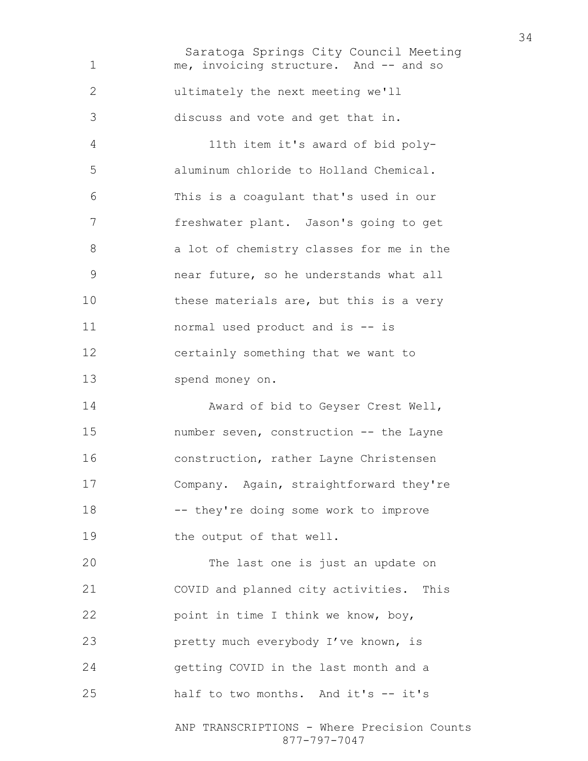Saratoga Springs City Council Meeting ANP TRANSCRIPTIONS - Where Precision Counts me, invoicing structure. And -- and so ultimately the next meeting we'll discuss and vote and get that in. 11th item it's award of bid poly-aluminum chloride to Holland Chemical. This is a coagulant that's used in our freshwater plant. Jason's going to get 8 a lot of chemistry classes for me in the near future, so he understands what all 10 these materials are, but this is a very normal used product and is -- is certainly something that we want to spend money on. Award of bid to Geyser Crest Well, number seven, construction -- the Layne construction, rather Layne Christensen Company. Again, straightforward they're -- they're doing some work to improve 19 the output of that well. The last one is just an update on COVID and planned city activities. This point in time I think we know, boy, **pretty much everybody I've known, is** getting COVID in the last month and a half to two months. And it's -- it's

877-797-7047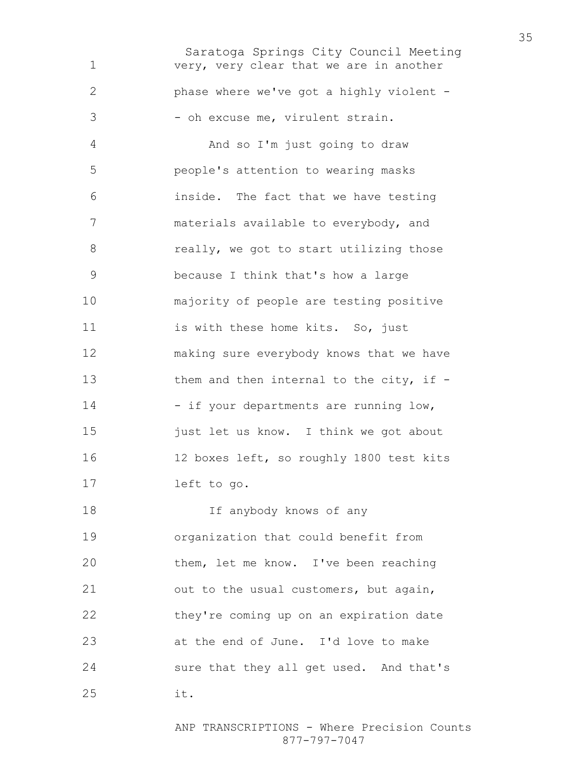Saratoga Springs City Council Meeting very, very clear that we are in another phase where we've got a highly violent - 3 - oh excuse me, virulent strain. And so I'm just going to draw people's attention to wearing masks inside. The fact that we have testing materials available to everybody, and 8 really, we got to start utilizing those because I think that's how a large majority of people are testing positive 11 is with these home kits. So, just making sure everybody knows that we have 13 them and then internal to the city, if -14 - if your departments are running low, 15 just let us know. I think we got about 12 boxes left, so roughly 1800 test kits left to go. If anybody knows of any organization that could benefit from them, let me know. I've been reaching 21 out to the usual customers, but again, they're coming up on an expiration date at the end of June. I'd love to make sure that they all get used. And that's it.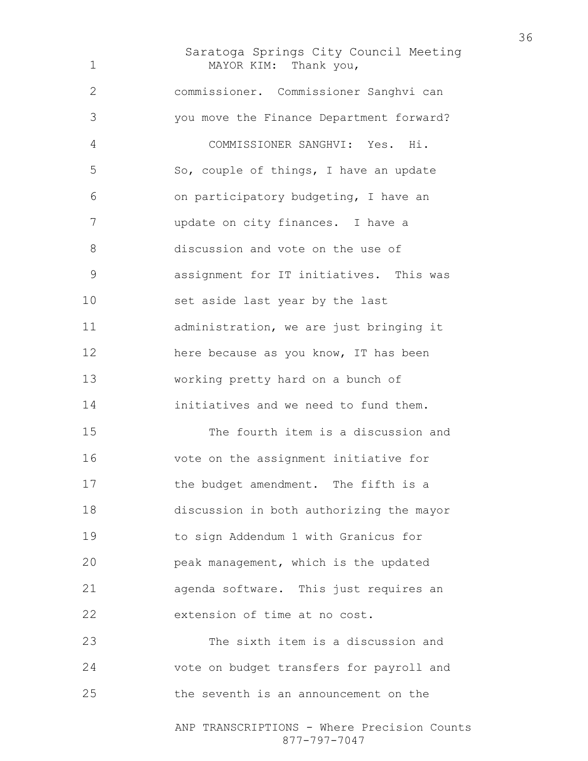Saratoga Springs City Council Meeting MAYOR KIM: Thank you, commissioner. Commissioner Sanghvi can you move the Finance Department forward? COMMISSIONER SANGHVI: Yes. Hi. So, couple of things, I have an update on participatory budgeting, I have an update on city finances. I have a discussion and vote on the use of assignment for IT initiatives. This was set aside last year by the last administration, we are just bringing it here because as you know, IT has been working pretty hard on a bunch of initiatives and we need to fund them. The fourth item is a discussion and vote on the assignment initiative for 17 the budget amendment. The fifth is a discussion in both authorizing the mayor to sign Addendum 1 with Granicus for peak management, which is the updated agenda software. This just requires an extension of time at no cost. The sixth item is a discussion and

vote on budget transfers for payroll and the seventh is an announcement on the

> ANP TRANSCRIPTIONS - Where Precision Counts 877-797-7047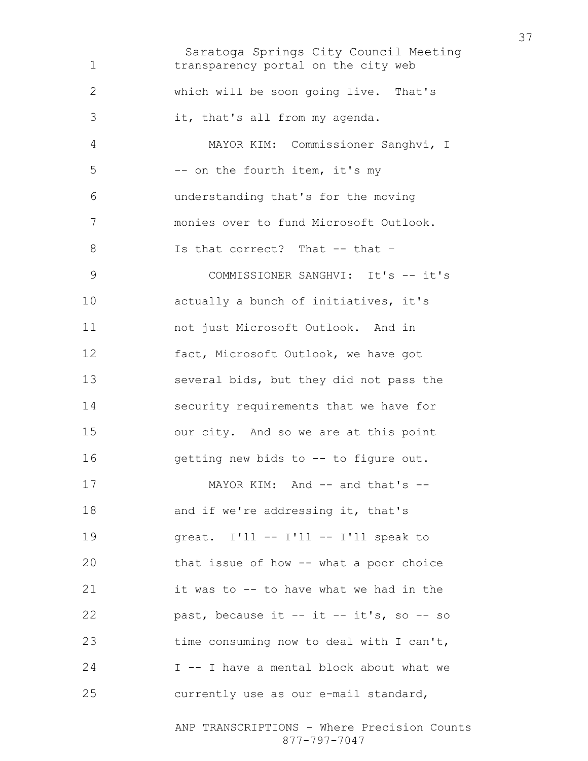Saratoga Springs City Council Meeting transparency portal on the city web which will be soon going live. That's it, that's all from my agenda. MAYOR KIM: Commissioner Sanghvi, I -- on the fourth item, it's my understanding that's for the moving monies over to fund Microsoft Outlook. 8 Is that correct? That -- that -9 COMMISSIONER SANGHVI: It's -- it's **actually a bunch of initiatives, it's** not just Microsoft Outlook. And in fact, Microsoft Outlook, we have got several bids, but they did not pass the security requirements that we have for our city. And so we are at this point getting new bids to -- to figure out. 17 MAYOR KIM: And -- and that's --18 and if we're addressing it, that's great. I'll -- I'll -- I'll speak to that issue of how -- what a poor choice it was to -- to have what we had in the past, because it -- it -- it's, so -- so time consuming now to deal with I can't, I -- I have a mental block about what we currently use as our e-mail standard,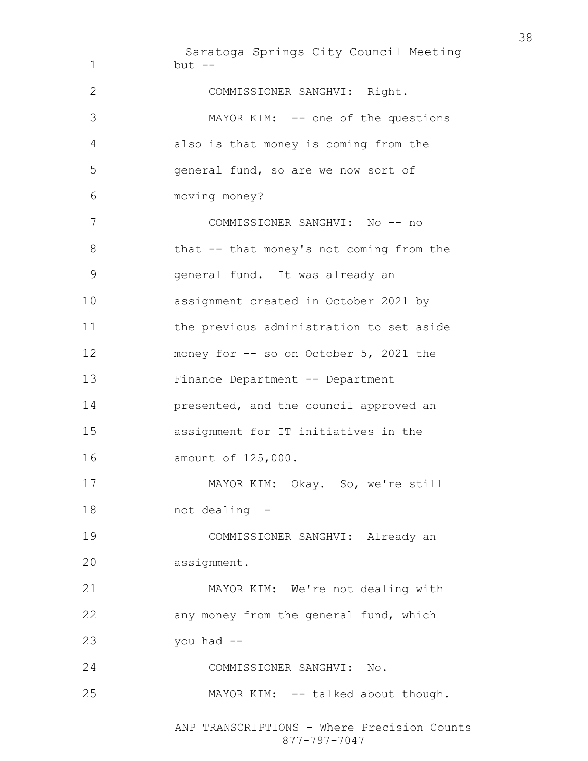Saratoga Springs City Council Meeting but -- COMMISSIONER SANGHVI: Right. MAYOR KIM: -- one of the questions also is that money is coming from the general fund, so are we now sort of moving money? COMMISSIONER SANGHVI: No -- no 8 that -- that money's not coming from the general fund. It was already an assignment created in October 2021 by the previous administration to set aside money for -- so on October 5, 2021 the Finance Department -- Department presented, and the council approved an assignment for IT initiatives in the amount of 125,000. MAYOR KIM: Okay. So, we're still not dealing –- COMMISSIONER SANGHVI: Already an assignment. MAYOR KIM: We're not dealing with any money from the general fund, which you had -- COMMISSIONER SANGHVI: No. 25 MAYOR KIM: -- talked about though.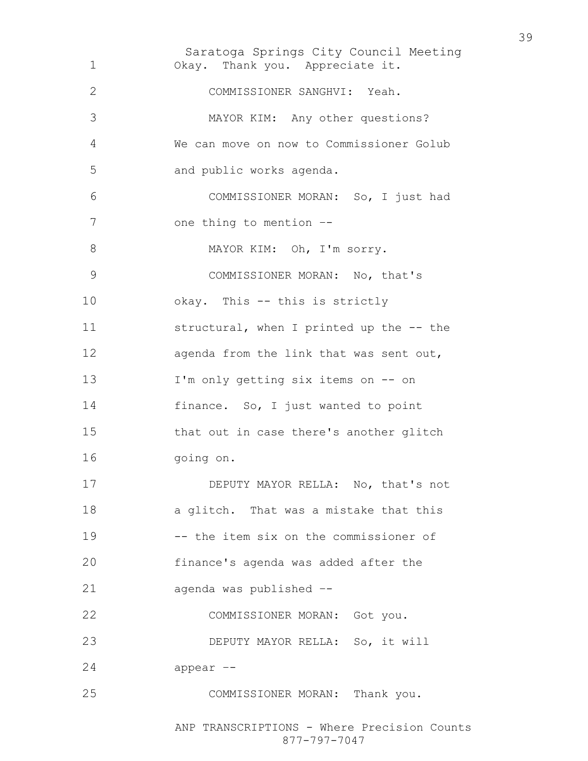Saratoga Springs City Council Meeting Okay. Thank you. Appreciate it. COMMISSIONER SANGHVI: Yeah. MAYOR KIM: Any other questions? We can move on now to Commissioner Golub and public works agenda. COMMISSIONER MORAN: So, I just had 7 one thing to mention --8 MAYOR KIM: Oh, I'm sorry. COMMISSIONER MORAN: No, that's okay. This -- this is strictly structural, when I printed up the -- the 12 agenda from the link that was sent out, I'm only getting six items on -- on finance. So, I just wanted to point that out in case there's another glitch going on. 17 DEPUTY MAYOR RELLA: No, that's not a glitch. That was a mistake that this -- the item six on the commissioner of finance's agenda was added after the agenda was published –- COMMISSIONER MORAN: Got you. DEPUTY MAYOR RELLA: So, it will appear –- COMMISSIONER MORAN: Thank you.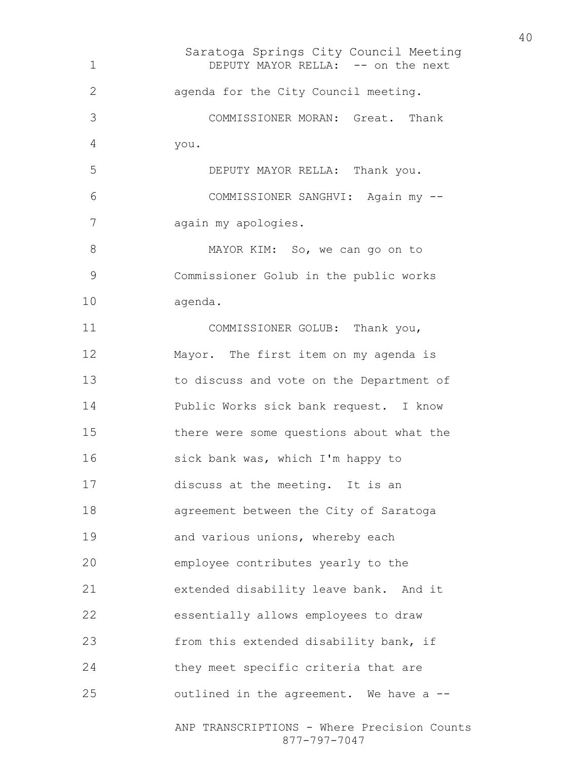Saratoga Springs City Council Meeting ANP TRANSCRIPTIONS - Where Precision Counts 1 DEPUTY MAYOR RELLA: -- on the next agenda for the City Council meeting. COMMISSIONER MORAN: Great. Thank you. DEPUTY MAYOR RELLA: Thank you. COMMISSIONER SANGHVI: Again my -- again my apologies. 8 MAYOR KIM: So, we can go on to Commissioner Golub in the public works agenda. 11 COMMISSIONER GOLUB: Thank you, Mayor. The first item on my agenda is to discuss and vote on the Department of Public Works sick bank request. I know there were some questions about what the 16 sick bank was, which I'm happy to discuss at the meeting. It is an agreement between the City of Saratoga 19 and various unions, whereby each employee contributes yearly to the extended disability leave bank. And it essentially allows employees to draw from this extended disability bank, if they meet specific criteria that are outlined in the agreement. We have a --

877-797-7047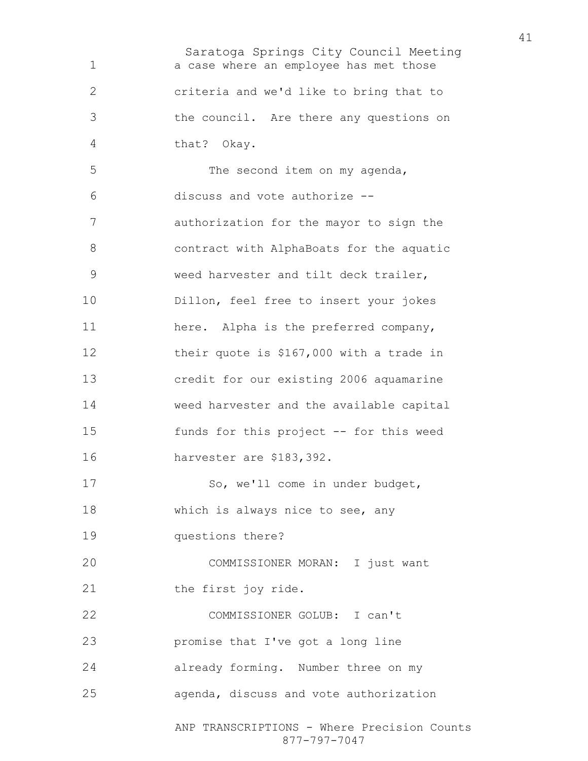Saratoga Springs City Council Meeting ANP TRANSCRIPTIONS - Where Precision Counts a case where an employee has met those criteria and we'd like to bring that to the council. Are there any questions on that? Okay. The second item on my agenda, discuss and vote authorize -- authorization for the mayor to sign the contract with AlphaBoats for the aquatic weed harvester and tilt deck trailer, Dillon, feel free to insert your jokes here. Alpha is the preferred company, their quote is \$167,000 with a trade in credit for our existing 2006 aquamarine weed harvester and the available capital funds for this project -- for this weed harvester are \$183,392. 17 So, we'll come in under budget, which is always nice to see, any questions there? COMMISSIONER MORAN: I just want 21 the first joy ride. COMMISSIONER GOLUB: I can't promise that I've got a long line already forming. Number three on my agenda, discuss and vote authorization

877-797-7047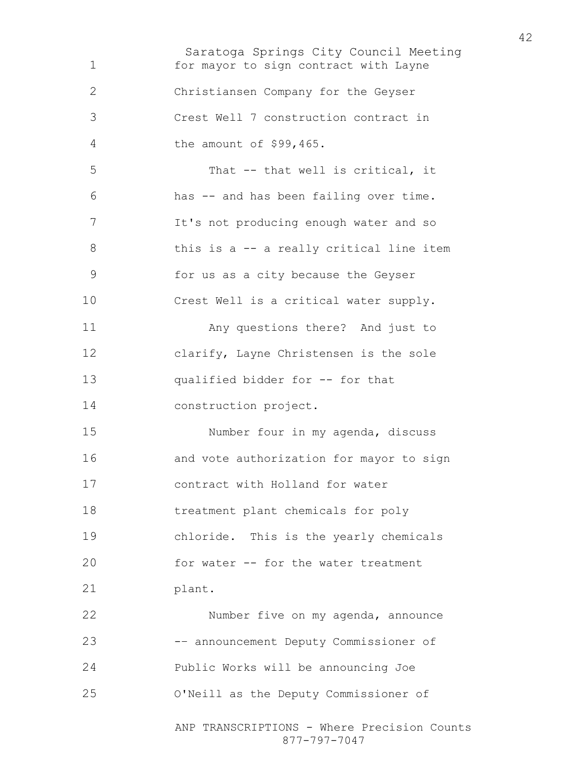Saratoga Springs City Council Meeting for mayor to sign contract with Layne Christiansen Company for the Geyser Crest Well 7 construction contract in the amount of \$99,465. That -- that well is critical, it has -- and has been failing over time. It's not producing enough water and so 8 this is a -- a really critical line item for us as a city because the Geyser Crest Well is a critical water supply. Any questions there? And just to clarify, Layne Christensen is the sole qualified bidder for -- for that construction project. Number four in my agenda, discuss and vote authorization for mayor to sign contract with Holland for water treatment plant chemicals for poly chloride. This is the yearly chemicals for water -- for the water treatment plant. Number five on my agenda, announce -– announcement Deputy Commissioner of Public Works will be announcing Joe O'Neill as the Deputy Commissioner of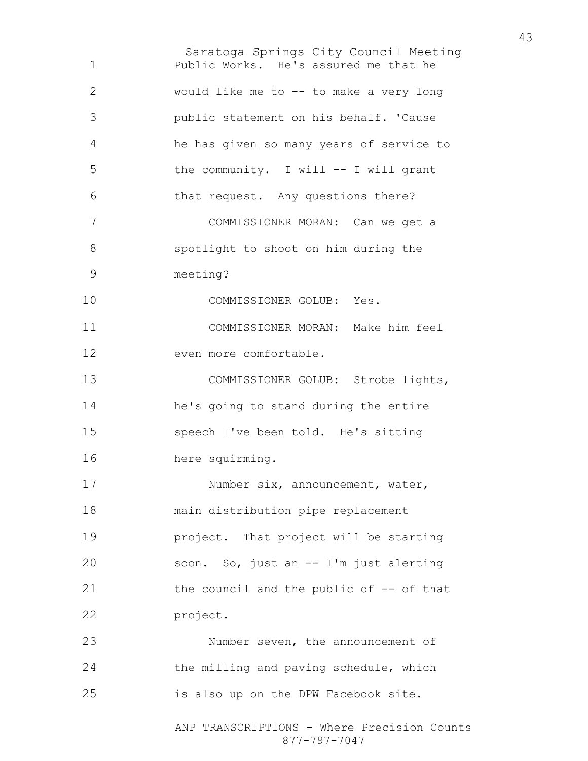Saratoga Springs City Council Meeting Public Works. He's assured me that he would like me to -- to make a very long public statement on his behalf. 'Cause he has given so many years of service to the community. I will -- I will grant that request. Any questions there? COMMISSIONER MORAN: Can we get a spotlight to shoot on him during the meeting? COMMISSIONER GOLUB: Yes. COMMISSIONER MORAN: Make him feel even more comfortable. 13 COMMISSIONER GOLUB: Strobe lights, he's going to stand during the entire speech I've been told. He's sitting here squirming. 17 Number six, announcement, water, main distribution pipe replacement project. That project will be starting soon. So, just an -- I'm just alerting the council and the public of -- of that project. Number seven, the announcement of the milling and paving schedule, which is also up on the DPW Facebook site.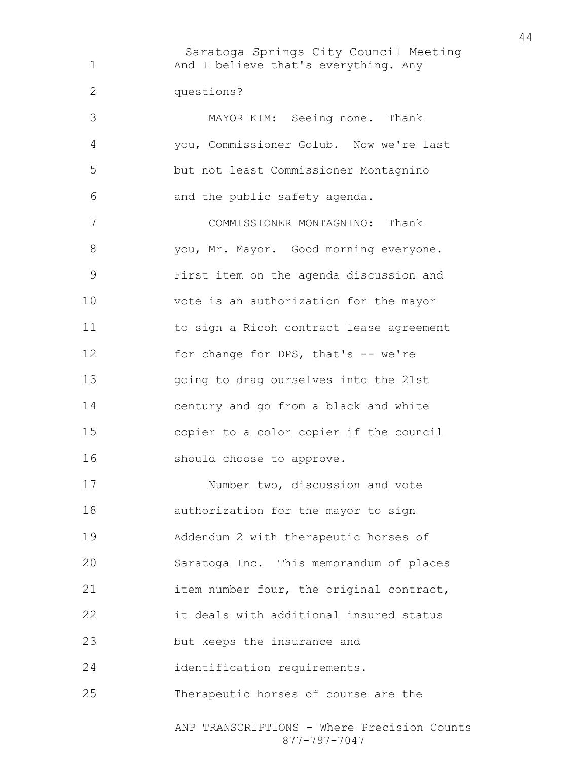Saratoga Springs City Council Meeting 1 And I believe that's everything. Any questions? MAYOR KIM: Seeing none. Thank you, Commissioner Golub. Now we're last but not least Commissioner Montagnino and the public safety agenda. COMMISSIONER MONTAGNINO: Thank you, Mr. Mayor. Good morning everyone. First item on the agenda discussion and vote is an authorization for the mayor to sign a Ricoh contract lease agreement 12 for change for DPS, that's -- we're going to drag ourselves into the 21st century and go from a black and white copier to a color copier if the council should choose to approve. Number two, discussion and vote authorization for the mayor to sign Addendum 2 with therapeutic horses of Saratoga Inc. This memorandum of places 21 item number four, the original contract, it deals with additional insured status but keeps the insurance and identification requirements. Therapeutic horses of course are the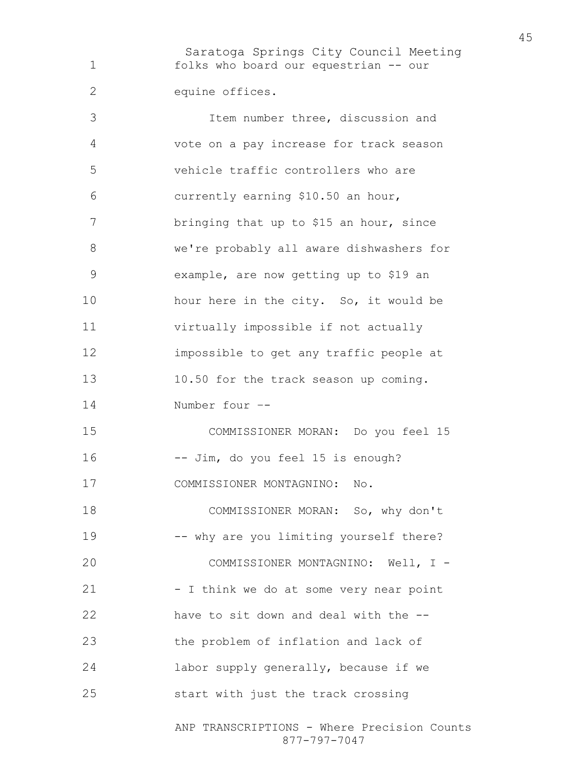Saratoga Springs City Council Meeting folks who board our equestrian -- our equine offices.

Item number three, discussion and vote on a pay increase for track season vehicle traffic controllers who are currently earning \$10.50 an hour, bringing that up to \$15 an hour, since we're probably all aware dishwashers for example, are now getting up to \$19 an 10 hour here in the city. So, it would be virtually impossible if not actually impossible to get any traffic people at 10.50 for the track season up coming. Number four –- COMMISSIONER MORAN: Do you feel 15 -- Jim, do you feel 15 is enough? COMMISSIONER MONTAGNINO: No. COMMISSIONER MORAN: So, why don't -- why are you limiting yourself there? COMMISSIONER MONTAGNINO: Well, I - 21 - I think we do at some very near point have to sit down and deal with the -- the problem of inflation and lack of labor supply generally, because if we start with just the track crossing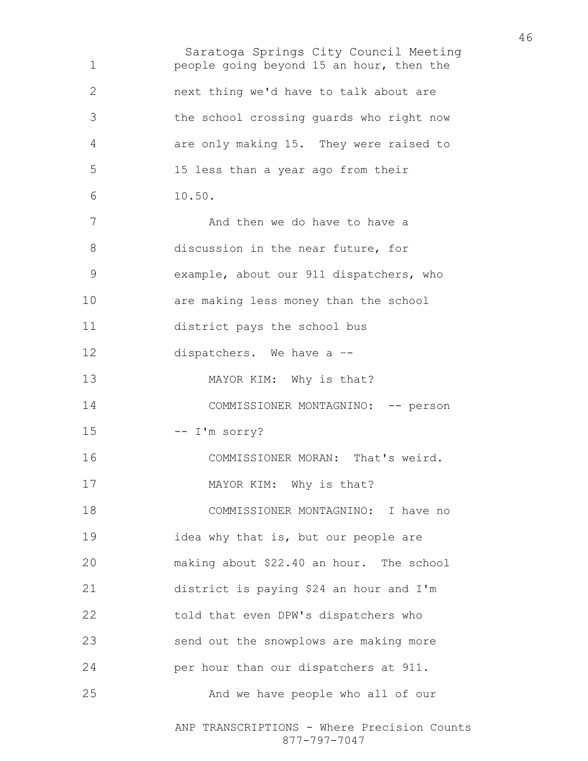Saratoga Springs City Council Meeting ANP TRANSCRIPTIONS - Where Precision Counts people going beyond 15 an hour, then the next thing we'd have to talk about are the school crossing guards who right now are only making 15. They were raised to 15 less than a year ago from their 10.50. 7 And then we do have to have a discussion in the near future, for example, about our 911 dispatchers, who are making less money than the school district pays the school bus dispatchers. We have a –- 13 MAYOR KIM: Why is that? 14 COMMISSIONER MONTAGNINO: -- person 15 -- I'm sorry? COMMISSIONER MORAN: That's weird. 17 MAYOR KIM: Why is that? COMMISSIONER MONTAGNINO: I have no idea why that is, but our people are making about \$22.40 an hour. The school district is paying \$24 an hour and I'm told that even DPW's dispatchers who send out the snowplows are making more per hour than our dispatchers at 911. And we have people who all of our

877-797-7047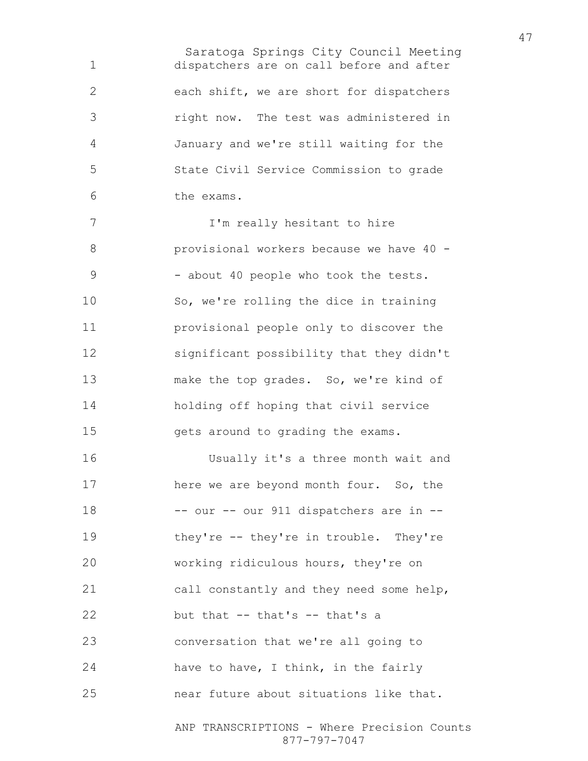Saratoga Springs City Council Meeting dispatchers are on call before and after each shift, we are short for dispatchers right now. The test was administered in January and we're still waiting for the State Civil Service Commission to grade the exams. 7 I'm really hesitant to hire provisional workers because we have 40 - 9 - about 40 people who took the tests. So, we're rolling the dice in training provisional people only to discover the significant possibility that they didn't make the top grades. So, we're kind of holding off hoping that civil service 15 gets around to grading the exams.

Usually it's a three month wait and here we are beyond month four. So, the -- our -- our 911 dispatchers are in -- they're -- they're in trouble. They're working ridiculous hours, they're on call constantly and they need some help, but that -- that's -- that's a conversation that we're all going to have to have, I think, in the fairly near future about situations like that.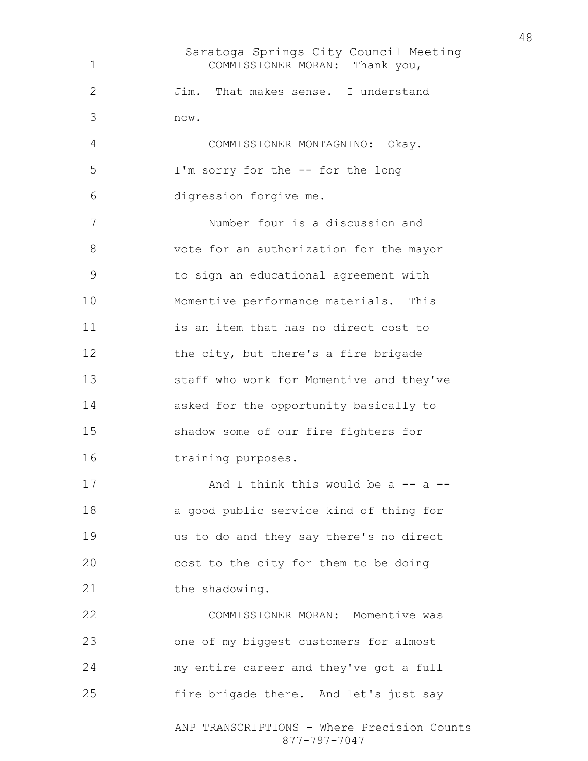Saratoga Springs City Council Meeting ANP TRANSCRIPTIONS - Where Precision Counts COMMISSIONER MORAN: Thank you, Jim. That makes sense. I understand now. COMMISSIONER MONTAGNINO: Okay. I'm sorry for the -- for the long digression forgive me. Number four is a discussion and vote for an authorization for the mayor to sign an educational agreement with Momentive performance materials. This is an item that has no direct cost to 12 the city, but there's a fire brigade staff who work for Momentive and they've asked for the opportunity basically to shadow some of our fire fighters for 16 training purposes. 17 And I think this would be a -- a --a good public service kind of thing for us to do and they say there's no direct cost to the city for them to be doing 21 the shadowing. COMMISSIONER MORAN: Momentive was one of my biggest customers for almost my entire career and they've got a full fire brigade there. And let's just say

877-797-7047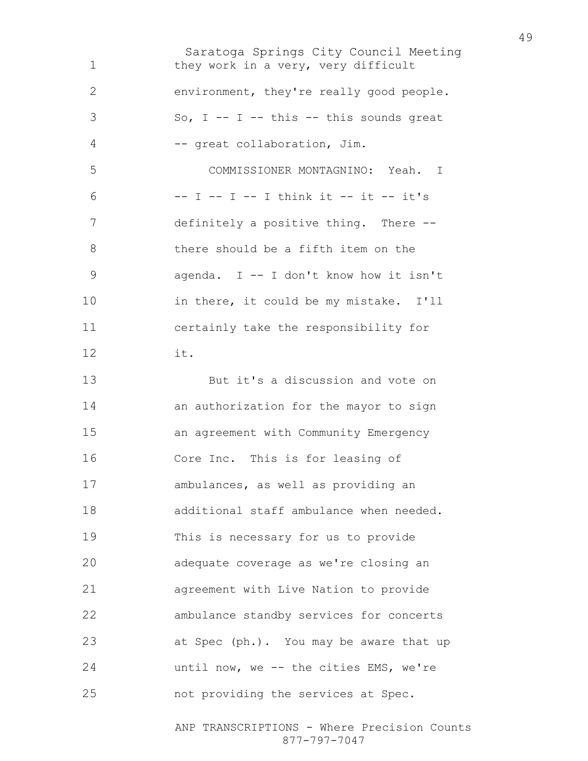Saratoga Springs City Council Meeting 1 they work in a very, very difficult environment, they're really good people.  $3 \text{ So, I -- I -- this -- this sounds great}$ -- great collaboration, Jim. COMMISSIONER MONTAGNINO: Yeah. I -- I -- I -- I think it -- it -- it's definitely a positive thing. There -- there should be a fifth item on the agenda. I -- I don't know how it isn't in there, it could be my mistake. I'll certainly take the responsibility for it. But it's a discussion and vote on an authorization for the mayor to sign an agreement with Community Emergency Core Inc. This is for leasing of ambulances, as well as providing an additional staff ambulance when needed. This is necessary for us to provide adequate coverage as we're closing an agreement with Live Nation to provide ambulance standby services for concerts at Spec (ph.). You may be aware that up until now, we -- the cities EMS, we're not providing the services at Spec.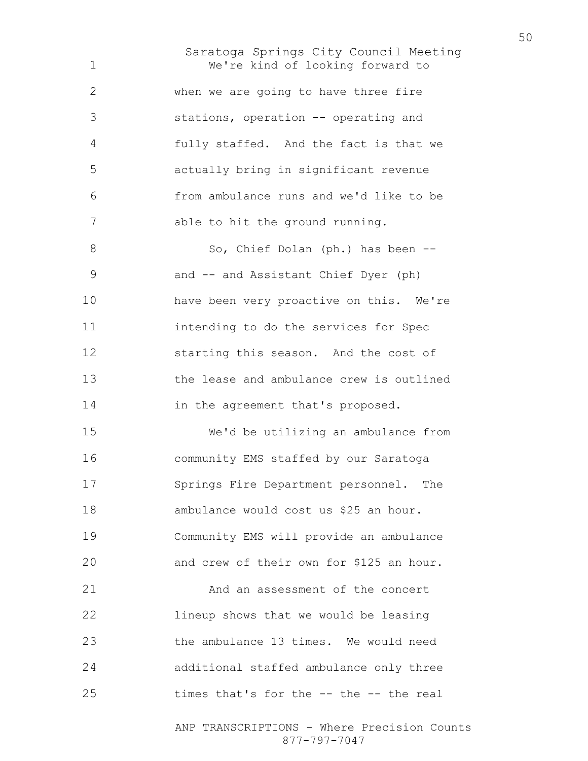Saratoga Springs City Council Meeting We're kind of looking forward to when we are going to have three fire stations, operation -- operating and fully staffed. And the fact is that we actually bring in significant revenue from ambulance runs and we'd like to be able to hit the ground running. 8 So, Chief Dolan (ph.) has been --and -- and Assistant Chief Dyer (ph) have been very proactive on this. We're intending to do the services for Spec starting this season. And the cost of the lease and ambulance crew is outlined 14 in the agreement that's proposed. We'd be utilizing an ambulance from community EMS staffed by our Saratoga Springs Fire Department personnel. The ambulance would cost us \$25 an hour. Community EMS will provide an ambulance and crew of their own for \$125 an hour. 21 And an assessment of the concert lineup shows that we would be leasing the ambulance 13 times. We would need additional staffed ambulance only three times that's for the -- the -- the real

> ANP TRANSCRIPTIONS - Where Precision Counts 877-797-7047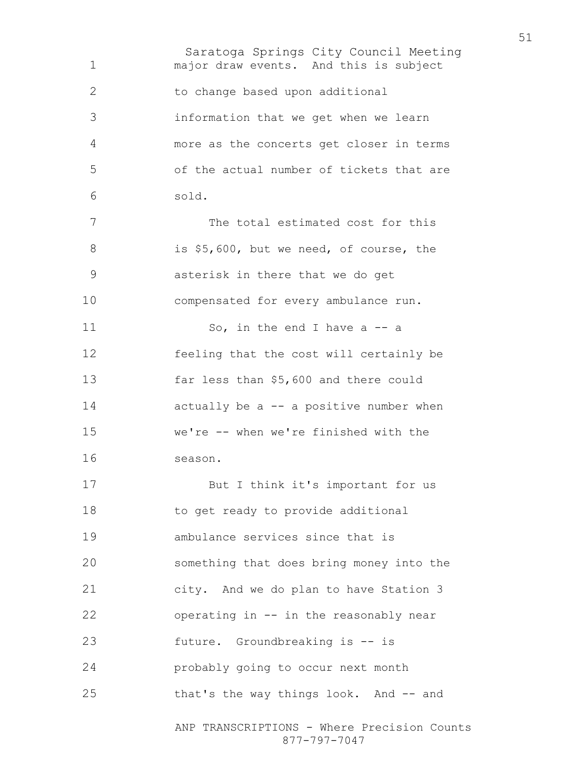Saratoga Springs City Council Meeting ANP TRANSCRIPTIONS - Where Precision Counts major draw events. And this is subject to change based upon additional information that we get when we learn more as the concerts get closer in terms of the actual number of tickets that are sold. 7 The total estimated cost for this 8 is \$5,600, but we need, of course, the asterisk in there that we do get compensated for every ambulance run. 11 So, in the end I have a -- a feeling that the cost will certainly be far less than \$5,600 and there could 14 actually be a -- a positive number when we're -- when we're finished with the season. But I think it's important for us 18 to get ready to provide additional ambulance services since that is something that does bring money into the city. And we do plan to have Station 3 operating in -- in the reasonably near future. Groundbreaking is -- is probably going to occur next month that's the way things look. And -- and

877-797-7047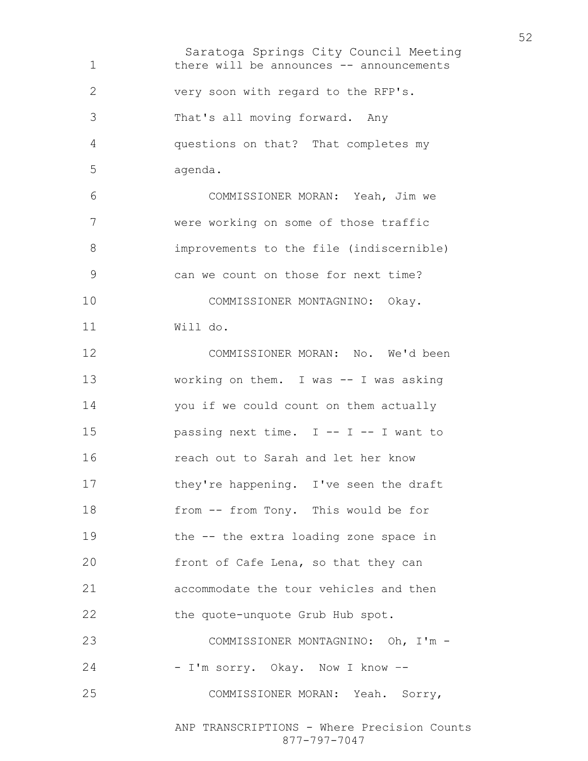Saratoga Springs City Council Meeting there will be announces -- announcements very soon with regard to the RFP's. That's all moving forward. Any questions on that? That completes my agenda. COMMISSIONER MORAN: Yeah, Jim we were working on some of those traffic improvements to the file (indiscernible) can we count on those for next time? COMMISSIONER MONTAGNINO: Okay. Will do. COMMISSIONER MORAN: No. We'd been 13 working on them. I was -- I was asking you if we could count on them actually 15 passing next time. I -- I -- I want to reach out to Sarah and let her know 17 they're happening. I've seen the draft from -- from Tony. This would be for the -- the extra loading zone space in front of Cafe Lena, so that they can accommodate the tour vehicles and then the quote-unquote Grub Hub spot. COMMISSIONER MONTAGNINO: Oh, I'm - - I'm sorry. Okay. Now I know –- COMMISSIONER MORAN: Yeah. Sorry,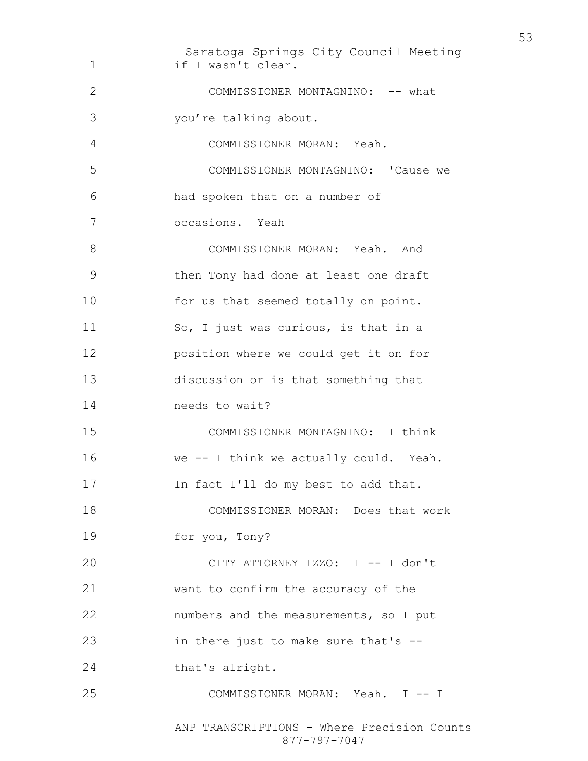Saratoga Springs City Council Meeting ANP TRANSCRIPTIONS - Where Precision Counts 1 if I wasn't clear. 2 COMMISSIONER MONTAGNINO: -- what you're talking about. COMMISSIONER MORAN: Yeah. COMMISSIONER MONTAGNINO: 'Cause we had spoken that on a number of occasions. Yeah 8 COMMISSIONER MORAN: Yeah. And then Tony had done at least one draft 10 for us that seemed totally on point. So, I just was curious, is that in a position where we could get it on for discussion or is that something that needs to wait? COMMISSIONER MONTAGNINO: I think we -- I think we actually could. Yeah. In fact I'll do my best to add that. COMMISSIONER MORAN: Does that work for you, Tony? CITY ATTORNEY IZZO: I -- I don't want to confirm the accuracy of the numbers and the measurements, so I put in there just to make sure that's -- 24 that's alright. COMMISSIONER MORAN: Yeah. I -- I

877-797-7047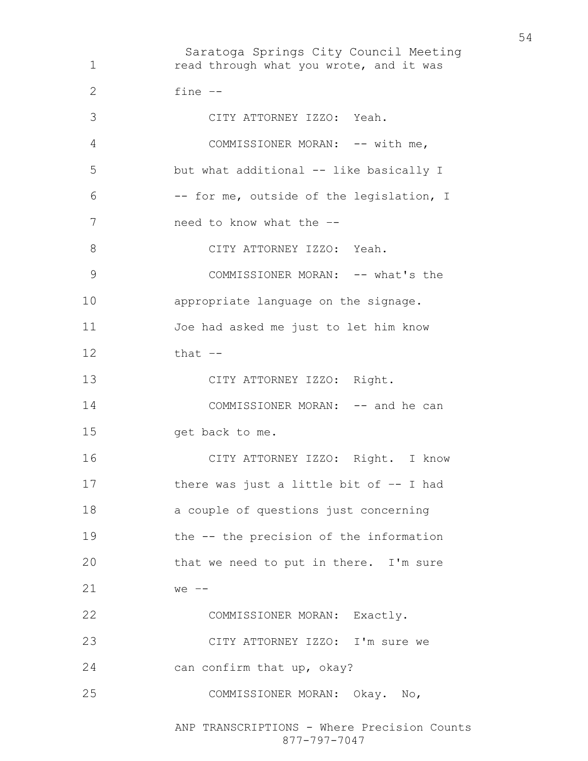Saratoga Springs City Council Meeting read through what you wrote, and it was fine –- CITY ATTORNEY IZZO: Yeah. 4 COMMISSIONER MORAN: -- with me, but what additional -- like basically I -- for me, outside of the legislation, I need to know what the –- 8 CITY ATTORNEY IZZO: Yeah. 9 COMMISSIONER MORAN: -- what's the appropriate language on the signage. Joe had asked me just to let him know that  $-$ CITY ATTORNEY IZZO: Right. 14 COMMISSIONER MORAN: -- and he can get back to me. CITY ATTORNEY IZZO: Right. I know there was just a little bit of –- I had a couple of questions just concerning the -- the precision of the information that we need to put in there. I'm sure we –- COMMISSIONER MORAN: Exactly. CITY ATTORNEY IZZO: I'm sure we can confirm that up, okay? COMMISSIONER MORAN: Okay. No,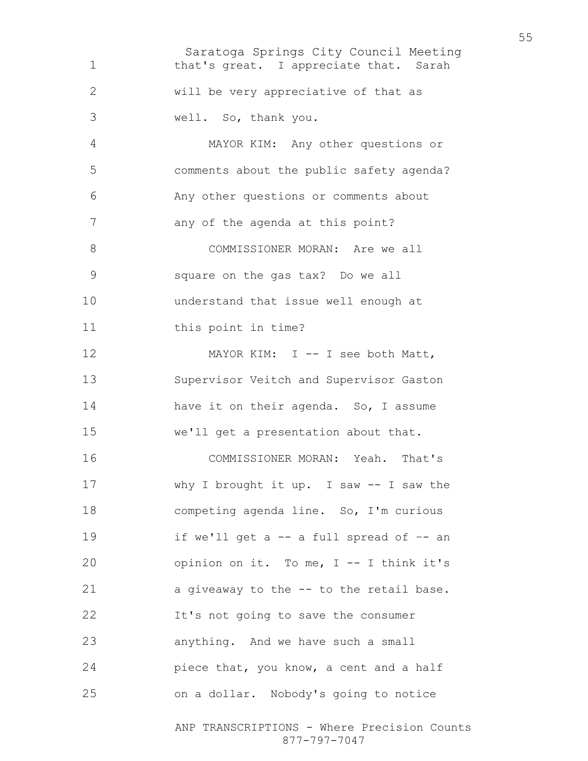Saratoga Springs City Council Meeting ANP TRANSCRIPTIONS - Where Precision Counts 1 that's great. I appreciate that. Sarah will be very appreciative of that as well. So, thank you. MAYOR KIM: Any other questions or comments about the public safety agenda? Any other questions or comments about 7 any of the agenda at this point? 8 COMMISSIONER MORAN: Are we all square on the gas tax? Do we all understand that issue well enough at 11 this point in time? 12 MAYOR KIM: I -- I see both Matt, Supervisor Veitch and Supervisor Gaston 14 have it on their agenda. So, I assume we'll get a presentation about that. COMMISSIONER MORAN: Yeah. That's why I brought it up. I saw -- I saw the competing agenda line. So, I'm curious if we'll get a -- a full spread of –- an opinion on it. To me, I -- I think it's a giveaway to the -- to the retail base. It's not going to save the consumer anything. And we have such a small 24 piece that, you know, a cent and a half on a dollar. Nobody's going to notice

877-797-7047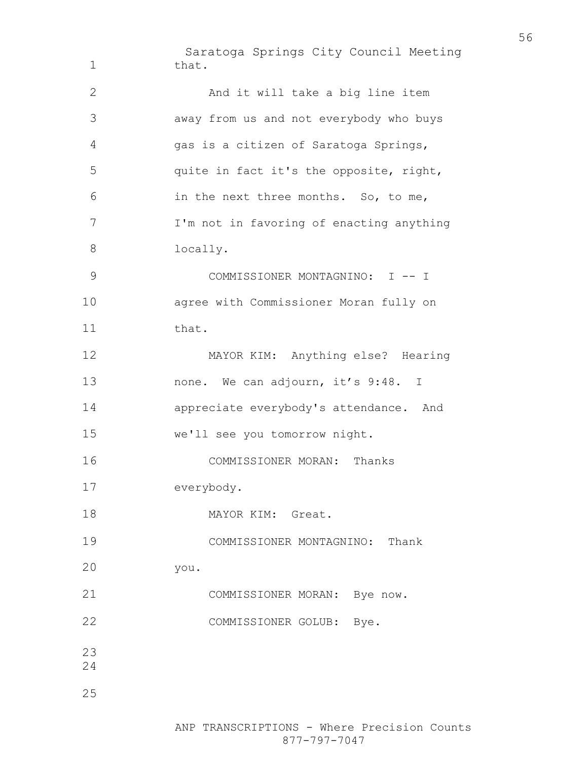Saratoga Springs City Council Meeting 1 that. And it will take a big line item away from us and not everybody who buys gas is a citizen of Saratoga Springs, quite in fact it's the opposite, right, in the next three months. So, to me, I'm not in favoring of enacting anything locally. COMMISSIONER MONTAGNINO: I -- I agree with Commissioner Moran fully on 11 that. MAYOR KIM: Anything else? Hearing 13 none. We can adjourn, it's 9:48. I appreciate everybody's attendance. And we'll see you tomorrow night. COMMISSIONER MORAN: Thanks everybody. 18 MAYOR KIM: Great. COMMISSIONER MONTAGNINO: Thank you. COMMISSIONER MORAN: Bye now. COMMISSIONER GOLUB: Bye.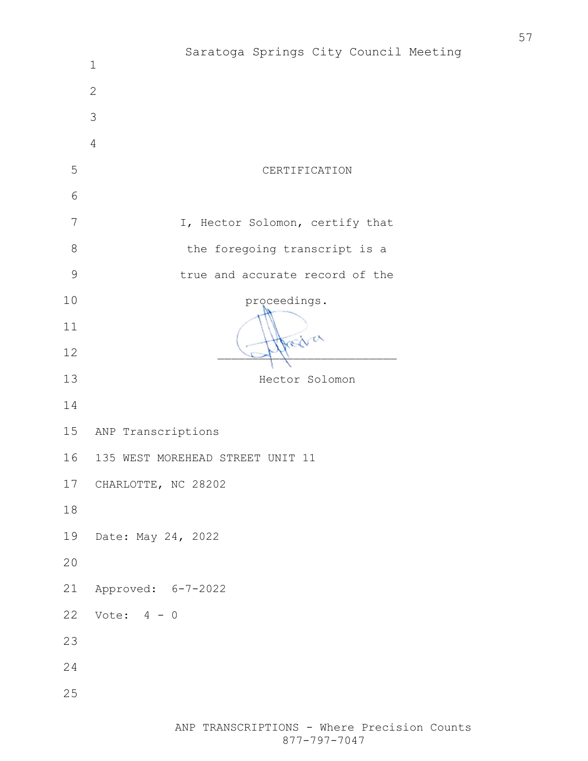|             | Saratoga Springs City Council Meeting<br>$\mathbf 1$ |
|-------------|------------------------------------------------------|
|             | $\mathbf{2}$                                         |
|             | 3                                                    |
|             | $\overline{4}$                                       |
| 5           | CERTIFICATION                                        |
| 6           |                                                      |
| 7           | I, Hector Solomon, certify that                      |
| $\,8\,$     | the foregoing transcript is a                        |
| $\mathsf 9$ | true and accurate record of the                      |
| 10          | proceedings.                                         |
| 11          | Areal er                                             |
| 12          |                                                      |
| 13          | Hector Solomon                                       |
| 14          |                                                      |
| 15          | ANP Transcriptions                                   |
| 16          | 135 WEST MOREHEAD STREET UNIT 11                     |
| 17          | CHARLOTTE, NC 28202                                  |
| $18\,$      |                                                      |
| 19          | Date: May 24, 2022                                   |
| 20          |                                                      |
| 21          | Approved: 6-7-2022                                   |
| 22          | Vote: $4 - 0$                                        |
| 23          |                                                      |
| 24          |                                                      |
| 25          |                                                      |